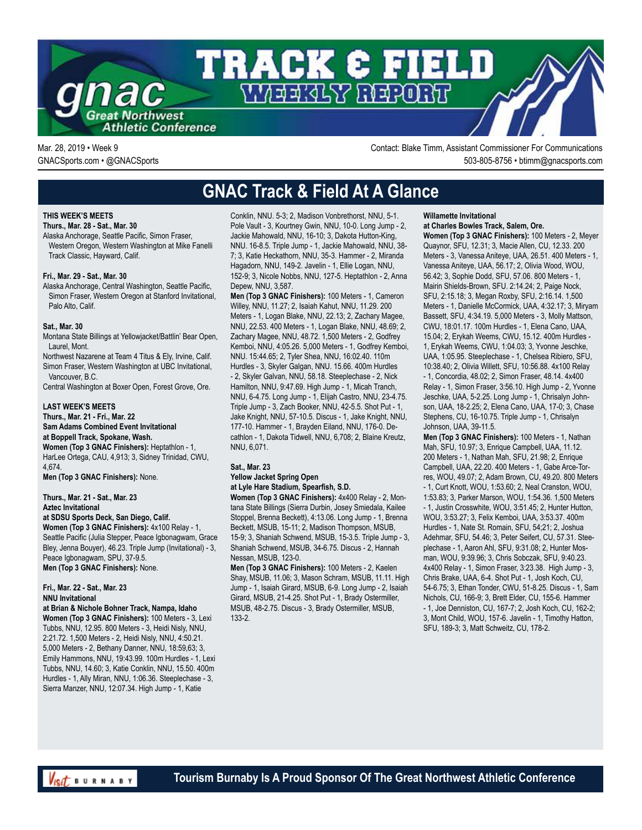

Mar. 28, 2019 • Week 9 Contact: Blake Timm, Assistant Commissioner For Communications GNACSports.com • @GNACSports 503-805-8756 • btimm@gnacsports.com

## **GNAC Track & Field At A Glance**

### **THIS WEEK'S MEETS**

#### **Thurs., Mar. 28 - Sat., Mar. 30**

Alaska Anchorage, Seattle Pacific, Simon Fraser, Western Oregon, Western Washington at Mike Fanelli Track Classic, Hayward, Calif.

#### **Fri., Mar. 29 - Sat., Mar. 30**

Alaska Anchorage, Central Washington, Seattle Pacific, Simon Fraser, Western Oregon at Stanford Invitational, Palo Alto, Calif.

#### **Sat., Mar. 30**

Montana State Billings at Yellowjacket/Battlin' Bear Open, Laurel, Mont.

Northwest Nazarene at Team 4 Titus & Ely, Irvine, Calif. Simon Fraser, Western Washington at UBC Invitational, Vancouver, B.C.

Central Washington at Boxer Open, Forest Grove, Ore.

### **LAST WEEK'S MEETS**

**Thurs., Mar. 21 - Fri., Mar. 22 Sam Adams Combined Event Invitational at Boppell Track, Spokane, Wash. Women (Top 3 GNAC Finishers):** Heptathlon - 1,

HarLee Ortega, CAU, 4,913; 3, Sidney Trinidad, CWU, 4,674.

**Men (Top 3 GNAC Finishers):** None.

#### **Thurs., Mar. 21 - Sat., Mar. 23 Aztec Invitational**

**at SDSU Sports Deck, San Diego, Calif.**

**Women (Top 3 GNAC Finishers):** 4x100 Relay - 1, Seattle Pacific (Julia Stepper, Peace Igbonagwam, Grace Bley, Jenna Bouyer), 46.23. Triple Jump (Invitational) - 3, Peace Igbonagwam, SPU, 37-9.5. **Men (Top 3 GNAC Finishers):** None.

#### **Fri., Mar. 22 - Sat., Mar. 23 NNU Invitational**

### **at Brian & Nichole Bohner Track, Nampa, Idaho**

**Women (Top 3 GNAC Finishers):** 100 Meters - 3, Lexi Tubbs, NNU, 12.95. 800 Meters - 3, Heidi Nisly, NNU, 2:21.72. 1,500 Meters - 2, Heidi Nisly, NNU, 4:50.21. 5,000 Meters - 2, Bethany Danner, NNU, 18:59,63; 3, Emily Hammons, NNU, 19:43.99. 100m Hurdles - 1, Lexi Tubbs, NNU, 14.60; 3, Katie Conklin, NNU, 15.50. 400m Hurdles - 1, Ally Miran, NNU, 1:06.36. Steeplechase - 3, Sierra Manzer, NNU, 12:07.34. High Jump - 1, Katie

Conklin, NNU. 5-3; 2, Madison Vonbrethorst, NNU, 5-1. Pole Vault - 3, Kourtney Gwin, NNU, 10-0. Long Jump - 2, Jackie Mahowald, NNU, 16-10; 3, Dakota Hutton-King, NNU. 16-8.5. Triple Jump - 1, Jackie Mahowald, NNU, 38- 7; 3, Katie Heckathorn, NNU, 35-3. Hammer - 2, Miranda Hagadorn, NNU, 149-2. Javelin - 1, Ellie Logan, NNU, 152-9; 3, Nicole Nobbs, NNU, 127-5. Heptathlon - 2, Anna Depew, NNU, 3,587.

**Men (Top 3 GNAC Finishers):** 100 Meters - 1, Cameron Willey, NNU, 11.27; 2, Isaiah Kahut, NNU, 11.29. 200 Meters - 1, Logan Blake, NNU, 22.13; 2, Zachary Magee, NNU, 22.53. 400 Meters - 1, Logan Blake, NNU, 48.69; 2, Zachary Magee, NNU, 48.72. 1,500 Meters - 2, Godfrey Kemboi, NNU, 4:05.26. 5,000 Meters - 1, Godfrey Kemboi, NNU. 15:44.65; 2, Tyler Shea, NNU, 16:02.40. 110m Hurdles - 3, Skyler Galgan, NNU. 15.66. 400m Hurdles - 2, Skyler Galvan, NNU, 58.18. Steeplechase - 2, Nick Hamilton, NNU, 9:47.69. High Jump - 1, Micah Tranch, NNU, 6-4.75. Long Jump - 1, Elijah Castro, NNU, 23-4.75. Triple Jump - 3, Zach Booker, NNU, 42-5.5. Shot Put - 1, Jake Knight, NNU, 57-10.5. Discus - 1, Jake Knight, NNU, 177-10. Hammer - 1, Brayden Eiland, NNU, 176-0. Decathlon - 1, Dakota Tidwell, NNU, 6,708; 2, Blaine Kreutz, NNU, 6,071.

#### **Sat., Mar. 23**

#### **Yellow Jacket Spring Open at Lyle Hare Stadium, Spearfish, S.D.**

**Women (Top 3 GNAC Finishers):** 4x400 Relay - 2, Montana State Billings (Sierra Durbin, Josey Smiedala, Kailee Stoppel, Brenna Beckett), 4:13.06. Long Jump - 1, Brenna Beckett, MSUB, 15-11; 2, Madison Thompson, MSUB, 15-9; 3, Shaniah Schwend, MSUB, 15-3.5. Triple Jump - 3, Shaniah Schwend, MSUB, 34-6.75. Discus - 2, Hannah Nessan, MSUB, 123-0.

**Men (Top 3 GNAC Finishers):** 100 Meters - 2, Kaelen Shay, MSUB, 11.06; 3, Mason Schram, MSUB, 11.11. High Jump - 1, Isaiah Girard, MSUB, 6-9. Long Jump - 2, Isaiah Girard, MSUB, 21-4.25. Shot Put - 1, Brady Ostermiller, MSUB, 48-2.75. Discus - 3, Brady Ostermiller, MSUB, 133-2.

### **Willamette Invitational**

### **at Charles Bowles Track, Salem, Ore.**

**Women (Top 3 GNAC Finishers):** 100 Meters - 2, Meyer Quaynor, SFU, 12.31; 3, Macie Allen, CU, 12.33. 200 Meters - 3, Vanessa Aniteye, UAA, 26.51. 400 Meters - 1, Vanessa Aniteye, UAA, 56.17; 2, Olivia Wood, WOU, 56.42; 3, Sophie Dodd, SFU, 57.06. 800 Meters - 1, Mairin Shields-Brown, SFU. 2:14.24; 2, Paige Nock, SFU, 2:15.18; 3, Megan Roxby, SFU, 2:16.14. 1,500 Meters - 1, Danielle McCormick, UAA, 4:32.17; 3, Miryam Bassett, SFU, 4:34.19. 5,000 Meters - 3, Molly Mattson, CWU, 18:01.17. 100m Hurdles - 1, Elena Cano, UAA, 15.04; 2, Erykah Weems, CWU, 15.12. 400m Hurdles - 1, Erykah Weems, CWU, 1:04.03; 3, Yvonne Jeschke, UAA, 1:05.95. Steeplechase - 1, Chelsea Ribiero, SFU, 10:38.40; 2, Olivia Willett, SFU, 10:56.88. 4x100 Relay - 1, Concordia, 48.02; 2, Simon Fraser, 48.14. 4x400 Relay - 1, Simon Fraser, 3:56.10. High Jump - 2, Yvonne Jeschke, UAA, 5-2.25. Long Jump - 1, Chrisalyn Johnson, UAA, 18-2.25; 2, Elena Cano, UAA, 17-0; 3, Chase Stephens, CU, 16-10.75. Triple Jump - 1, Chrisalyn Johnson, UAA, 39-11.5.

**Men (Top 3 GNAC Finishers):** 100 Meters - 1, Nathan Mah, SFU, 10.97; 3, Enrique Campbell, UAA, 11.12. 200 Meters - 1, Nathan Mah, SFU, 21.98; 2, Enrique Campbell, UAA, 22.20. 400 Meters - 1, Gabe Arce-Torres, WOU, 49.07; 2, Adam Brown, CU, 49.20. 800 Meters - 1, Curt Knott, WOU, 1:53.60; 2, Neal Cranston, WOU, 1:53.83; 3, Parker Marson, WOU, 1:54.36. 1,500 Meters - 1, Justin Crosswhite, WOU, 3:51.45; 2, Hunter Hutton, WOU, 3:53.27; 3, Felix Kemboi, UAA, 3:53.37. 400m Hurdles - 1, Nate St. Romain, SFU, 54;21; 2, Joshua Adehmar, SFU, 54.46; 3, Peter Seifert, CU, 57.31. Steeplechase - 1, Aaron Ahl, SFU, 9:31.08; 2, Hunter Mosman, WOU, 9:39.96; 3, Chris Sobczak, SFU, 9:40.23. 4x400 Relay - 1, Simon Fraser, 3:23.38. High Jump - 3, Chris Brake, UAA, 6-4. Shot Put - 1, Josh Koch, CU, 54-6.75; 3, Ethan Tonder, CWU, 51-8.25. Discus - 1, Sam Nichols, CU, 166-9; 3, Brett Elder, CU, 155-6. Hammer - 1, Joe Denniston, CU, 167-7; 2, Josh Koch, CU, 162-2; 3, Mont Child, WOU, 157-6. Javelin - 1, Timothy Hatton, SFU, 189-3; 3, Matt Schweitz, CU, 178-2.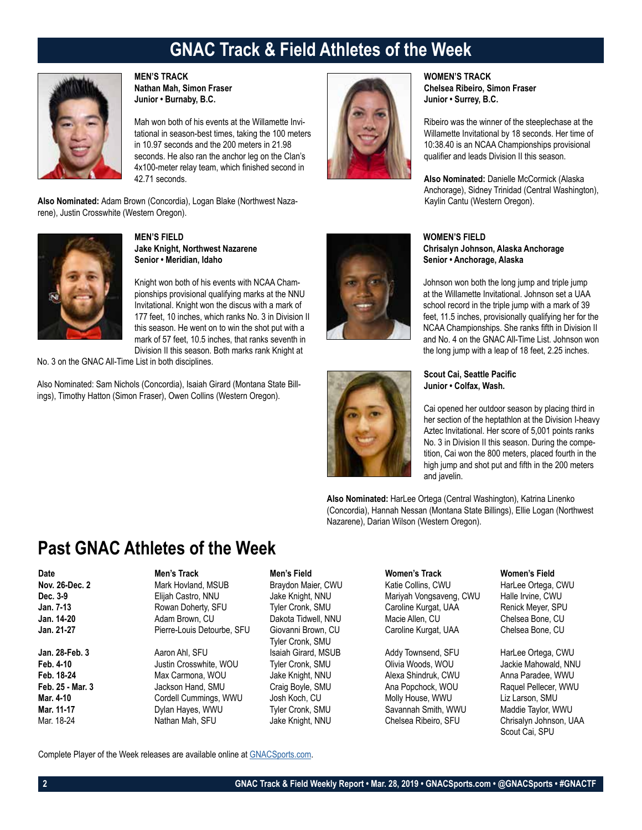## **GNAC Track & Field Athletes of the Week**



**MEN'S TRACK Nathan Mah, Simon Fraser Junior • Burnaby, B.C.**

Mah won both of his events at the Willamette Invitational in season-best times, taking the 100 meters in 10.97 seconds and the 200 meters in 21.98 seconds. He also ran the anchor leg on the Clan's 4x100-meter relay team, which finished second in 42.71 seconds.

**Also Nominated:** Adam Brown (Concordia), Logan Blake (Northwest Nazarene), Justin Crosswhite (Western Oregon).



**MEN'S FIELD Jake Knight, Northwest Nazarene Senior • Meridian, Idaho**

Knight won both of his events with NCAA Championships provisional qualifying marks at the NNU Invitational. Knight won the discus with a mark of 177 feet, 10 inches, which ranks No. 3 in Division II this season. He went on to win the shot put with a mark of 57 feet, 10.5 inches, that ranks seventh in Division II this season. Both marks rank Knight at

No. 3 on the GNAC All-Time List in both disciplines.

Also Nominated: Sam Nichols (Concordia), Isaiah Girard (Montana State Billings), Timothy Hatton (Simon Fraser), Owen Collins (Western Oregon).



**WOMEN'S TRACK Chelsea Ribeiro, Simon Fraser Junior • Surrey, B.C.**

Ribeiro was the winner of the steeplechase at the Willamette Invitational by 18 seconds. Her time of 10:38.40 is an NCAA Championships provisional qualifier and leads Division II this season.

**Also Nominated:** Danielle McCormick (Alaska Anchorage), Sidney Trinidad (Central Washington), Kaylin Cantu (Western Oregon).





### **WOMEN'S FIELD Chrisalyn Johnson, Alaska Anchorage Senior • Anchorage, Alaska**

Johnson won both the long jump and triple jump at the Willamette Invitational. Johnson set a UAA school record in the triple jump with a mark of 39 feet, 11.5 inches, provisionally qualifying her for the NCAA Championships. She ranks fifth in Division II and No. 4 on the GNAC All-Time List. Johnson won the long jump with a leap of 18 feet, 2.25 inches.

**Scout Cai, Seattle Pacific Junior • Colfax, Wash.**

Cai opened her outdoor season by placing third in her section of the heptathlon at the Division I-heavy Aztec Invitational. Her score of 5,001 points ranks No. 3 in Division II this season. During the competition, Cai won the 800 meters, placed fourth in the high jump and shot put and fifth in the 200 meters and javelin.

**Also Nominated:** HarLee Ortega (Central Washington), Katrina Linenko (Concordia), Hannah Nessan (Montana State Billings), Ellie Logan (Northwest Nazarene), Darian Wilson (Western Oregon).

### **Past GNAC Athletes of the Week**

### **Date Men's Track Men's Field Women's Track Women's Field Nov. 26-Dec. 2** Mark Hovland, MSUB Braydon Maier, CWU Katie Collins, CWU HarLee Ortega, CWU<br> **Dec. 3-9** Blijah Castro, NNU Jake Knight, NNU Mariyah Vongsaveng, CWU Halle Irvine, CWU **Dec. 3-9** Elijah Castro, NNU Jake Knight, NNU Mariyah Vongsaveng, CWU Halle Irvine, CWU **Jan. 7-13** Rowan Doherty, SFU Tyler Cronk, SMU Caroline Kurgat, UAA Renick Meyer, SPU **Jan. 14-20** Adam Brown, CU Dakota Tidwell, NNU Macie Allen, CU Chelsea Bone, CU Pierre-Louis Detourbe, SFU Giovanni Brown, CU Caroline Kurgat, UAA

**Feb. 4-10** Justin Crosswhite, WOU Tyler Cronk, SMU Olivia Woods, WOU Jackie Mahowald, NNU **Feb. 18-24** Max Carmona, WOU Jake Knight, NNU Alexa Shindruk, CWU Anna Paradee, WWU **Feb. 25 - Mar. 3** Jackson Hand, SMU Craig Boyle, SMU Ana Popchock, WOU Raquel Pellecer, WWU **Mar. 4-10** Cordell Cummings, WWU Josh Koch, CU Molly House, WWU Liz Larson, SMU<br>1991 Mar. 11-17 Maddie Taylor, WWU Tyler Cronk, SMU Savannah Smith, WWU Maddie Taylor, W

Tyler Cronk, SMU **Jan. 28-Feb. 3 Aaron Ahl, SFU State Addy Townsend, SFU Harlee Ortega, CWU Addy Townsend, SFU Harlee Ortega, CWU** 

**Mar. 11-17** Dylan Hayes, WWU Tyler Cronk, SMU Savannah Smith, WWU Maddie Taylor, WWU

Chrisalyn Johnson, UAA Scout Cai, SPU

Complete Player of the Week releases are available online at GNACSports.com.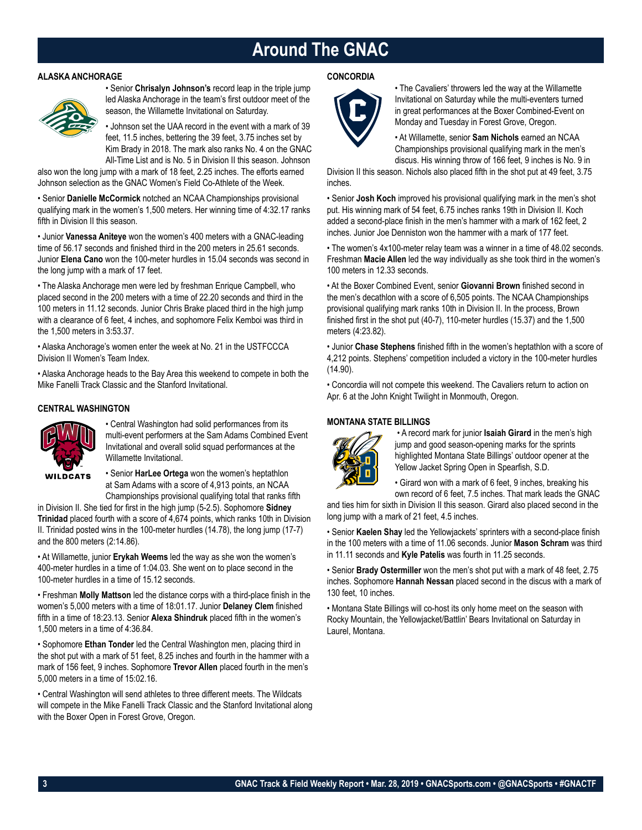## **Around The GNAC**

### **ALASKA ANCHORAGE**



• Senior **Chrisalyn Johnson's** record leap in the triple jump led Alaska Anchorage in the team's first outdoor meet of the season, the Willamette Invitational on Saturday.

• Johnson set the UAA record in the event with a mark of 39 feet, 11.5 inches, bettering the 39 feet, 3.75 inches set by Kim Brady in 2018. The mark also ranks No. 4 on the GNAC All-Time List and is No. 5 in Division II this season. Johnson

also won the long jump with a mark of 18 feet, 2.25 inches. The efforts earned Johnson selection as the GNAC Women's Field Co-Athlete of the Week.

• Senior **Danielle McCormick** notched an NCAA Championships provisional qualifying mark in the women's 1,500 meters. Her winning time of 4:32.17 ranks fifth in Division II this season.

• Junior **Vanessa Aniteye** won the women's 400 meters with a GNAC-leading time of 56.17 seconds and finished third in the 200 meters in 25.61 seconds. Junior **Elena Cano** won the 100-meter hurdles in 15.04 seconds was second in the long jump with a mark of 17 feet.

• The Alaska Anchorage men were led by freshman Enrique Campbell, who placed second in the 200 meters with a time of 22.20 seconds and third in the 100 meters in 11.12 seconds. Junior Chris Brake placed third in the high jump with a clearance of 6 feet, 4 inches, and sophomore Felix Kemboi was third in the 1,500 meters in 3:53.37.

• Alaska Anchorage's women enter the week at No. 21 in the USTFCCCA Division II Women's Team Index.

• Alaska Anchorage heads to the Bay Area this weekend to compete in both the Mike Fanelli Track Classic and the Stanford Invitational.

### **CENTRAL WASHINGTON**



• Central Washington had solid performances from its multi-event performers at the Sam Adams Combined Event Invitational and overall solid squad performances at the Willamette Invitational.

• Senior **HarLee Ortega** won the women's heptathlon at Sam Adams with a score of 4,913 points, an NCAA Championships provisional qualifying total that ranks fifth

in Division II. She tied for first in the high jump (5-2.5). Sophomore **Sidney Trinidad** placed fourth with a score of 4,674 points, which ranks 10th in Division II. Trinidad posted wins in the 100-meter hurdles (14.78), the long jump (17-7) and the 800 meters (2:14.86).

• At Willamette, junior **Erykah Weems** led the way as she won the women's 400-meter hurdles in a time of 1:04.03. She went on to place second in the 100-meter hurdles in a time of 15.12 seconds.

• Freshman **Molly Mattson** led the distance corps with a third-place finish in the women's 5,000 meters with a time of 18:01.17. Junior **Delaney Clem** finished fifth in a time of 18:23.13. Senior **Alexa Shindruk** placed fifth in the women's 1,500 meters in a time of 4:36.84.

• Sophomore **Ethan Tonder** led the Central Washington men, placing third in the shot put with a mark of 51 feet, 8.25 inches and fourth in the hammer with a mark of 156 feet, 9 inches. Sophomore **Trevor Allen** placed fourth in the men's 5,000 meters in a time of 15:02.16.

• Central Washington will send athletes to three different meets. The Wildcats will compete in the Mike Fanelli Track Classic and the Stanford Invitational along with the Boxer Open in Forest Grove, Oregon.

### **CONCORDIA**



• The Cavaliers' throwers led the way at the Willamette Invitational on Saturday while the multi-eventers turned in great performances at the Boxer Combined-Event on Monday and Tuesday in Forest Grove, Oregon.

• At Willamette, senior **Sam Nichols** earned an NCAA Championships provisional qualifying mark in the men's discus. His winning throw of 166 feet, 9 inches is No. 9 in

Division II this season. Nichols also placed fifth in the shot put at 49 feet, 3.75 inches.

• Senior **Josh Koch** improved his provisional qualifying mark in the men's shot put. His winning mark of 54 feet, 6.75 inches ranks 19th in Division II. Koch added a second-place finish in the men's hammer with a mark of 162 feet, 2 inches. Junior Joe Denniston won the hammer with a mark of 177 feet.

• The women's 4x100-meter relay team was a winner in a time of 48.02 seconds. Freshman **Macie Allen** led the way individually as she took third in the women's 100 meters in 12.33 seconds.

• At the Boxer Combined Event, senior **Giovanni Brown** finished second in the men's decathlon with a score of 6,505 points. The NCAA Championships provisional qualifying mark ranks 10th in Division II. In the process, Brown finished first in the shot put (40-7), 110-meter hurdles (15.37) and the 1,500 meters (4:23.82).

• Junior **Chase Stephens** finished fifth in the women's heptathlon with a score of 4,212 points. Stephens' competition included a victory in the 100-meter hurdles (14.90).

• Concordia will not compete this weekend. The Cavaliers return to action on Apr. 6 at the John Knight Twilight in Monmouth, Oregon.

### **MONTANA STATE BILLINGS**



 • A record mark for junior **Isaiah Girard** in the men's high jump and good season-opening marks for the sprints highlighted Montana State Billings' outdoor opener at the Yellow Jacket Spring Open in Spearfish, S.D.

• Girard won with a mark of 6 feet, 9 inches, breaking his own record of 6 feet, 7.5 inches. That mark leads the GNAC

and ties him for sixth in Division II this season. Girard also placed second in the long jump with a mark of 21 feet, 4.5 inches.

• Senior **Kaelen Shay** led the Yellowjackets' sprinters with a second-place finish in the 100 meters with a time of 11.06 seconds. Junior **Mason Schram** was third in 11.11 seconds and **Kyle Patelis** was fourth in 11.25 seconds.

• Senior **Brady Ostermiller** won the men's shot put with a mark of 48 feet, 2.75 inches. Sophomore **Hannah Nessan** placed second in the discus with a mark of 130 feet, 10 inches.

• Montana State Billings will co-host its only home meet on the season with Rocky Mountain, the Yellowjacket/Battlin' Bears Invitational on Saturday in Laurel, Montana.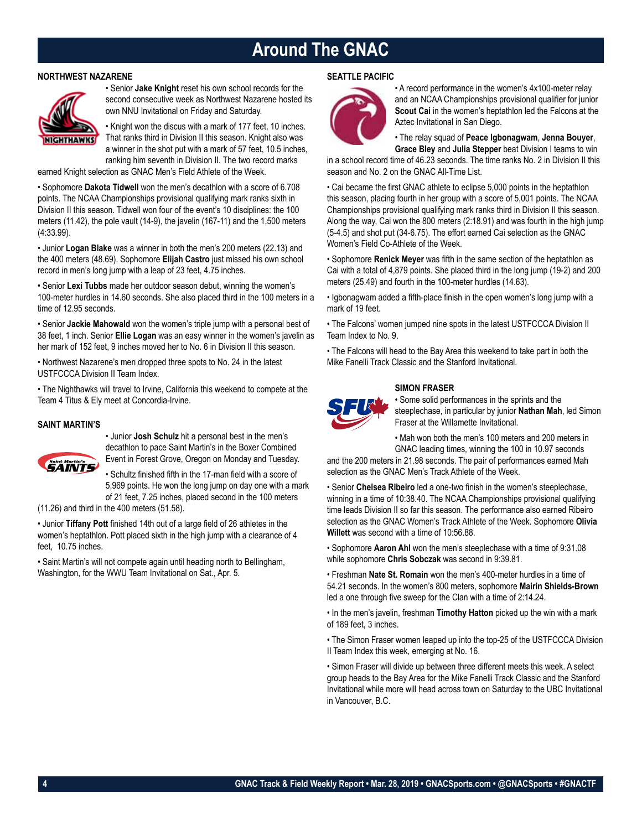## **Around The GNAC**

### **NORTHWEST NAZARENE**



• Senior **Jake Knight** reset his own school records for the second consecutive week as Northwest Nazarene hosted its own NNU Invitational on Friday and Saturday.

• Knight won the discus with a mark of 177 feet, 10 inches. That ranks third in Division II this season. Knight also was a winner in the shot put with a mark of 57 feet, 10.5 inches, ranking him seventh in Division II. The two record marks

earned Knight selection as GNAC Men's Field Athlete of the Week.

• Sophomore **Dakota Tidwell** won the men's decathlon with a score of 6.708 points. The NCAA Championships provisional qualifying mark ranks sixth in Division II this season. Tidwell won four of the event's 10 disciplines: the 100 meters (11.42), the pole vault (14-9), the javelin (167-11) and the 1,500 meters (4:33.99).

• Junior **Logan Blake** was a winner in both the men's 200 meters (22.13) and the 400 meters (48.69). Sophomore **Elijah Castro** just missed his own school record in men's long jump with a leap of 23 feet, 4.75 inches.

• Senior **Lexi Tubbs** made her outdoor season debut, winning the women's 100-meter hurdles in 14.60 seconds. She also placed third in the 100 meters in a time of 12.95 seconds.

• Senior **Jackie Mahowald** won the women's triple jump with a personal best of 38 feet, 1 inch. Senior **Ellie Logan** was an easy winner in the women's javelin as her mark of 152 feet, 9 inches moved her to No. 6 in Division II this season.

• Northwest Nazarene's men dropped three spots to No. 24 in the latest USTFCCCA Division II Team Index.

• The Nighthawks will travel to Irvine, California this weekend to compete at the Team 4 Titus & Ely meet at Concordia-Irvine.

### **SAINT MARTIN'S**



• Junior **Josh Schulz** hit a personal best in the men's decathlon to pace Saint Martin's in the Boxer Combined Event in Forest Grove, Oregon on Monday and Tuesday.

• Schultz finished fifth in the 17-man field with a score of 5,969 points. He won the long jump on day one with a mark of 21 feet, 7.25 inches, placed second in the 100 meters

(11.26) and third in the 400 meters (51.58).

• Junior **Tiffany Pott** finished 14th out of a large field of 26 athletes in the women's heptathlon. Pott placed sixth in the high jump with a clearance of 4 feet, 10.75 inches.

• Saint Martin's will not compete again until heading north to Bellingham, Washington, for the WWU Team Invitational on Sat., Apr. 5.

### **SEATTLE PACIFIC**



• A record performance in the women's 4x100-meter relay and an NCAA Championships provisional qualifier for junior **Scout Cai** in the women's heptathlon led the Falcons at the Aztec Invitational in San Diego.

• The relay squad of **Peace Igbonagwam**, **Jenna Bouyer**,

**Grace Bley** and **Julia Stepper** beat Division I teams to win in a school record time of 46.23 seconds. The time ranks No. 2 in Division II this season and No. 2 on the GNAC All-Time List.

• Cai became the first GNAC athlete to eclipse 5,000 points in the heptathlon this season, placing fourth in her group with a score of 5,001 points. The NCAA Championships provisional qualifying mark ranks third in Division II this season. Along the way, Cai won the 800 meters (2:18.91) and was fourth in the high jump (5-4.5) and shot put (34-6.75). The effort earned Cai selection as the GNAC Women's Field Co-Athlete of the Week.

• Sophomore **Renick Meyer** was fifth in the same section of the heptathlon as Cai with a total of 4,879 points. She placed third in the long jump (19-2) and 200 meters (25.49) and fourth in the 100-meter hurdles (14.63).

• Igbonagwam added a fifth-place finish in the open women's long jump with a mark of 19 feet.

• The Falcons' women jumped nine spots in the latest USTFCCCA Division II Team Index to No. 9.

• The Falcons will head to the Bay Area this weekend to take part in both the Mike Fanelli Track Classic and the Stanford Invitational.

### **SIMON FRASER**



Some solid performances in the sprints and the steeplechase, in particular by junior **Nathan Mah**, led Simon Fraser at the Willamette Invitational.

• Mah won both the men's 100 meters and 200 meters in GNAC leading times, winning the 100 in 10.97 seconds

and the 200 meters in 21.98 seconds. The pair of performances earned Mah selection as the GNAC Men's Track Athlete of the Week.

• Senior **Chelsea Ribeiro** led a one-two finish in the women's steeplechase, winning in a time of 10:38.40. The NCAA Championships provisional qualifying time leads Division II so far this season. The performance also earned Ribeiro selection as the GNAC Women's Track Athlete of the Week. Sophomore **Olivia Willett** was second with a time of 10:56.88.

• Sophomore **Aaron Ahl** won the men's steeplechase with a time of 9:31.08 while sophomore **Chris Sobczak** was second in 9:39.81.

• Freshman **Nate St. Romain** won the men's 400-meter hurdles in a time of 54.21 seconds. In the women's 800 meters, sophomore **Mairin Shields-Brown** led a one through five sweep for the Clan with a time of 2:14.24.

• In the men's javelin, freshman **Timothy Hatton** picked up the win with a mark of 189 feet, 3 inches.

• The Simon Fraser women leaped up into the top-25 of the USTFCCCA Division II Team Index this week, emerging at No. 16.

• Simon Fraser will divide up between three different meets this week. A select group heads to the Bay Area for the Mike Fanelli Track Classic and the Stanford Invitational while more will head across town on Saturday to the UBC Invitational in Vancouver, B.C.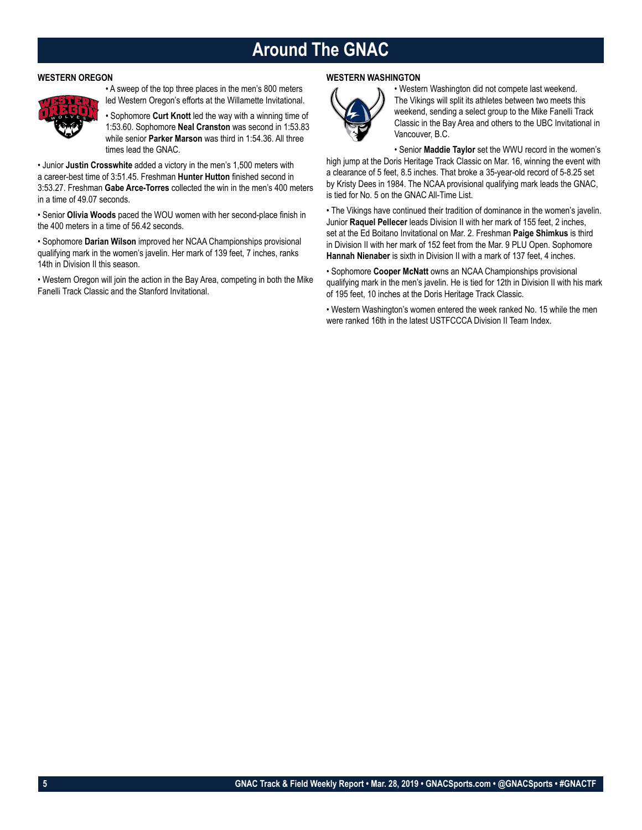## **Around The GNAC**

### **WESTERN OREGON**



• A sweep of the top three places in the men's 800 meters led Western Oregon's efforts at the Willamette Invitational.

• Sophomore **Curt Knott** led the way with a winning time of 1:53.60. Sophomore **Neal Cranston** was second in 1:53.83 while senior **Parker Marson** was third in 1:54.36. All three times lead the GNAC.

• Junior **Justin Crosswhite** added a victory in the men's 1,500 meters with a career-best time of 3:51.45. Freshman **Hunter Hutton** finished second in 3:53.27. Freshman **Gabe Arce-Torres** collected the win in the men's 400 meters in a time of 49.07 seconds.

• Senior **Olivia Woods** paced the WOU women with her second-place finish in the 400 meters in a time of 56.42 seconds.

• Sophomore **Darian Wilson** improved her NCAA Championships provisional qualifying mark in the women's javelin. Her mark of 139 feet, 7 inches, ranks 14th in Division II this season.

• Western Oregon will join the action in the Bay Area, competing in both the Mike Fanelli Track Classic and the Stanford Invitational.

### **WESTERN WASHINGTON**



• Western Washington did not compete last weekend. The Vikings will split its athletes between two meets this weekend, sending a select group to the Mike Fanelli Track Classic in the Bay Area and others to the UBC Invitational in Vancouver, B.C.

• Senior **Maddie Taylor** set the WWU record in the women's high jump at the Doris Heritage Track Classic on Mar. 16, winning the event with a clearance of 5 feet, 8.5 inches. That broke a 35-year-old record of 5-8.25 set by Kristy Dees in 1984. The NCAA provisional qualifying mark leads the GNAC, is tied for No. 5 on the GNAC All-Time List.

• The Vikings have continued their tradition of dominance in the women's javelin. Junior **Raquel Pellecer** leads Division II with her mark of 155 feet, 2 inches, set at the Ed Boitano Invitational on Mar. 2. Freshman **Paige Shimkus** is third in Division II with her mark of 152 feet from the Mar. 9 PLU Open. Sophomore **Hannah Nienaber** is sixth in Division II with a mark of 137 feet, 4 inches.

• Sophomore **Cooper McNatt** owns an NCAA Championships provisional qualifying mark in the men's javelin. He is tied for 12th in Division II with his mark of 195 feet, 10 inches at the Doris Heritage Track Classic.

• Western Washington's women entered the week ranked No. 15 while the men were ranked 16th in the latest USTFCCCA Division II Team Index.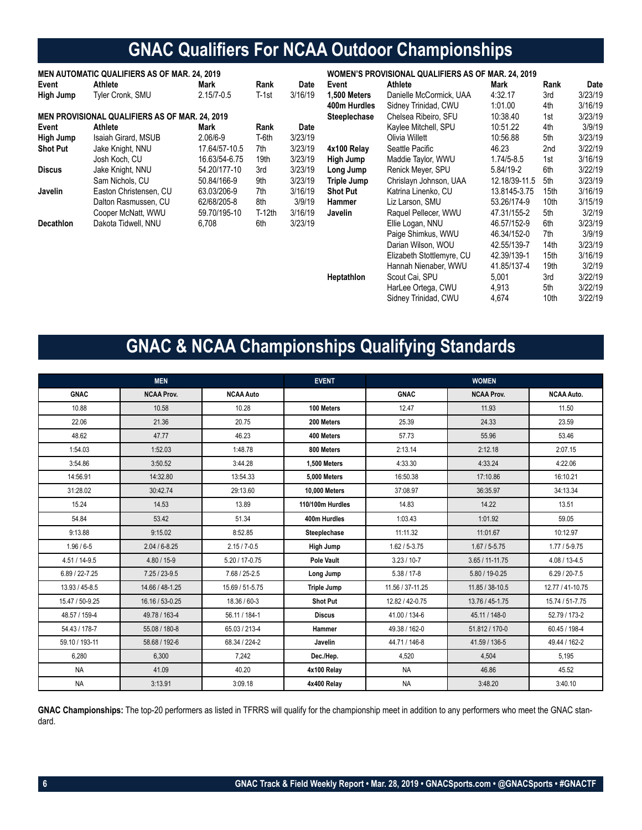# **GNAC Qualifiers For NCAA Outdoor Championships**

| <b>MEN AUTOMATIC QUALIFIERS AS OF MAR. 24, 2019</b> |                                                       |                |          | WOMEN'S PROVISIONAL QUALIFIERS AS OF MAR. 24, 2019 |                     |                           |                |      |         |
|-----------------------------------------------------|-------------------------------------------------------|----------------|----------|----------------------------------------------------|---------------------|---------------------------|----------------|------|---------|
| Event                                               | Athlete                                               | Mark           | Rank     | Date                                               | Event               | Athlete                   | Mark           | Rank | Date    |
| High Jump                                           | Tyler Cronk, SMU                                      | $2.15/7 - 0.5$ | T-1st    | 3/16/19                                            | 1,500 Meters        | Danielle McCormick, UAA   | 4:32.17        | 3rd  | 3/23/19 |
|                                                     |                                                       |                |          |                                                    | 400m Hurdles        | Sidney Trinidad, CWU      | 1:01.00        | 4th  | 3/16/19 |
|                                                     | <b>MEN PROVISIONAL QUALIFIERS AS OF MAR. 24, 2019</b> |                |          |                                                    | <b>Steeplechase</b> | Chelsea Ribeiro, SFU      | 10:38.40       | 1st  | 3/23/19 |
| Event                                               | Athlete                                               | Mark           | Rank     | Date                                               |                     | Kaylee Mitchell, SPU      | 10:51.22       | 4th  | 3/9/19  |
| High Jump                                           | Isaiah Girard, MSUB                                   | $2.06/6 - 9$   | T-6th    | 3/23/19                                            |                     | Olivia Willett            | 10:56.88       | 5th  | 3/23/19 |
| <b>Shot Put</b>                                     | Jake Knight, NNU                                      | 17.64/57-10.5  | 7th      | 3/23/19                                            | 4x100 Relay         | Seattle Pacific           | 46.23          | 2nd  | 3/22/19 |
|                                                     | Josh Koch, CU                                         | 16.63/54-6.75  | 19th     | 3/23/19                                            | High Jump           | Maddie Taylor, WWU        | $1.74/5 - 8.5$ | 1st  | 3/16/19 |
| <b>Discus</b>                                       | Jake Knight, NNU                                      | 54.20/177-10   | 3rd      | 3/23/19                                            | Long Jump           | Renick Meyer, SPU         | 5.84/19-2      | 6th  | 3/22/19 |
|                                                     | Sam Nichols, CU                                       | 50.84/166-9    | 9th      | 3/23/19                                            | Triple Jump         | Chrislayn Johnson, UAA    | 12.18/39-11.5  | 5th  | 3/23/19 |
| Javelin                                             | Easton Christensen, CU                                | 63.03/206-9    | 7th      | 3/16/19                                            | <b>Shot Put</b>     | Katrina Linenko, CU       | 13.8145-3.75   | 15th | 3/16/19 |
|                                                     | Dalton Rasmussen, CU                                  | 62/68/205-8    | 8th      | 3/9/19                                             | Hammer              | Liz Larson, SMU           | 53.26/174-9    | 10th | 3/15/19 |
|                                                     | Cooper McNatt, WWU                                    | 59.70/195-10   | $T-12th$ | 3/16/19                                            | Javelin             | Raguel Pellecer, WWU      | 47.31/155-2    | 5th  | 3/2/19  |
| Decathlon                                           | Dakota Tidwell, NNU                                   | 6,708          | 6th      | 3/23/19                                            |                     | Ellie Logan, NNU          | 46.57/152-9    | 6th  | 3/23/19 |
|                                                     |                                                       |                |          |                                                    |                     | Paige Shimkus, WWU        | 46.34/152-0    | 7th  | 3/9/19  |
|                                                     |                                                       |                |          |                                                    |                     | Darian Wilson, WOU        | 42.55/139-7    | 14th | 3/23/19 |
|                                                     |                                                       |                |          |                                                    |                     | Elizabeth Stottlemyre, CU | 42.39/139-1    | 15th | 3/16/19 |
|                                                     |                                                       |                |          |                                                    |                     | Hannah Nienaber, WWU      | 41.85/137-4    | 19th | 3/2/19  |
|                                                     |                                                       |                |          |                                                    | Heptathlon          | Scout Cai, SPU            | 5,001          | 3rd  | 3/22/19 |
|                                                     |                                                       |                |          |                                                    |                     | HarLee Ortega, CWU        | 4,913          | 5th  | 3/22/19 |
|                                                     |                                                       |                |          |                                                    |                     | Sidney Trinidad, CWU      | 4,674          | 10th | 3/22/19 |
|                                                     |                                                       |                |          |                                                    |                     |                           |                |      |         |

# **GNAC & NCAA Championships Qualifying Standards**

|                    | <b>MEN</b>        |                  | <b>EVENT</b>     |                   | <b>WOMEN</b>        |                   |
|--------------------|-------------------|------------------|------------------|-------------------|---------------------|-------------------|
| <b>GNAC</b>        | <b>NCAA Prov.</b> | <b>NCAA Auto</b> |                  | <b>GNAC</b>       | <b>NCAA Prov.</b>   | <b>NCAA Auto.</b> |
| 10.88              | 10.58             | 10.28            | 100 Meters       | 12.47             | 11.93               | 11.50             |
| 22.06              | 21.36             | 20.75            | 200 Meters       | 25.39             | 24.33               | 23.59             |
| 48.62              | 47.77             | 46.23            | 400 Meters       | 57.73             | 55.96               | 53.46             |
| 1:54.03            | 1:52.03           | 1:48.78          | 800 Meters       | 2:13.14           | 2:12.18             | 2:07.15           |
| 3:54.86            | 3:50.52           | 3:44.28          | 1.500 Meters     | 4:33.30           | 4:33.24             | 4:22.06           |
| 14:56.91           | 14:32.80          | 13:54.33         | 5.000 Meters     | 16:50.38          | 17:10.86            | 16:10.21          |
| 31:28.02           | 30:42.74          | 29:13.60         | 10,000 Meters    | 37:08.97          | 36:35.97            | 34:13.34          |
| 15.24              | 14.53             | 13.89            | 110/100m Hurdles | 14.83             | 14.22               | 13.51             |
| 54.84              | 53.42             | 51.34            | 400m Hurdles     | 1:03.43           | 1:01.92             | 59.05             |
| 9:13.88            | 9:15.02           | 8:52.85          | Steeplechase     | 11:11.32          | 11:01.67            | 10:12.97          |
| $1.96/6 - 5$       | $2.04 / 6 - 8.25$ | $2.15 / 7 - 0.5$ | High Jump        | $1.62 / 5 - 3.75$ | $1.67 / 5 - 5.75$   | $1.77/5 - 9.75$   |
| $4.51 / 14 - 9.5$  | 4.80 / 15-9       | 5.20 / 17-0.75   | Pole Vault       | $3.23/10-7$       | $3.65 / 11 - 11.75$ | $4.08 / 13 - 4.5$ |
| $6.89 / 22 - 7.25$ | $7.25 / 23 - 9.5$ | 7.68 / 25-2.5    | Long Jump        | $5.38 / 17 - 8$   | 5.80 / 19-0.25      | $6.29 / 20 - 7.5$ |
| 13.93 / 45-8.5     | 14.66 / 48-1.25   | 15.69 / 51-5.75  | Triple Jump      | 11.56 / 37-11.25  | 11.85 / 38-10.5     | 12.77 / 41-10.75  |
| 15.47 / 50-9.25    | 16.16 / 53-0.25   | 18.36 / 60-3     | <b>Shot Put</b>  | 12.82 / 42-0.75   | 13.76 / 45-1.75     | 15.74 / 51-7.75   |
| 48.57 / 159-4      | 49.78 / 163-4     | 56.11 / 184-1    | <b>Discus</b>    | 41.00 / 134-6     | 45.11 / 148-0       | 52.79 / 173-2     |
| 54.43 / 178-7      | 55.08 / 180-8     | 65.03 / 213-4    | <b>Hammer</b>    | 49.38 / 162-0     | 51.812 / 170-0      | 60.45 / 198-4     |
| 59.10 / 193-11     | 58.68 / 192-6     | 68.34 / 224-2    | Javelin          | 44.71 / 146-8     | 41.59 / 136-5       | 49.44 / 162-2     |
| 6.280              | 6.300             | 7.242            | Dec./Hep.        | 4.520             | 4,504               | 5.195             |
| <b>NA</b>          | 41.09             | 40.20            | 4x100 Relay      | <b>NA</b>         | 46.86               | 45.52             |
| <b>NA</b>          | 3:13.91           | 3:09.18          | 4x400 Relay      | <b>NA</b>         | 3:48.20             | 3:40.10           |

**GNAC Championships:** The top-20 performers as listed in TFRRS will qualify for the championship meet in addition to any performers who meet the GNAC standard.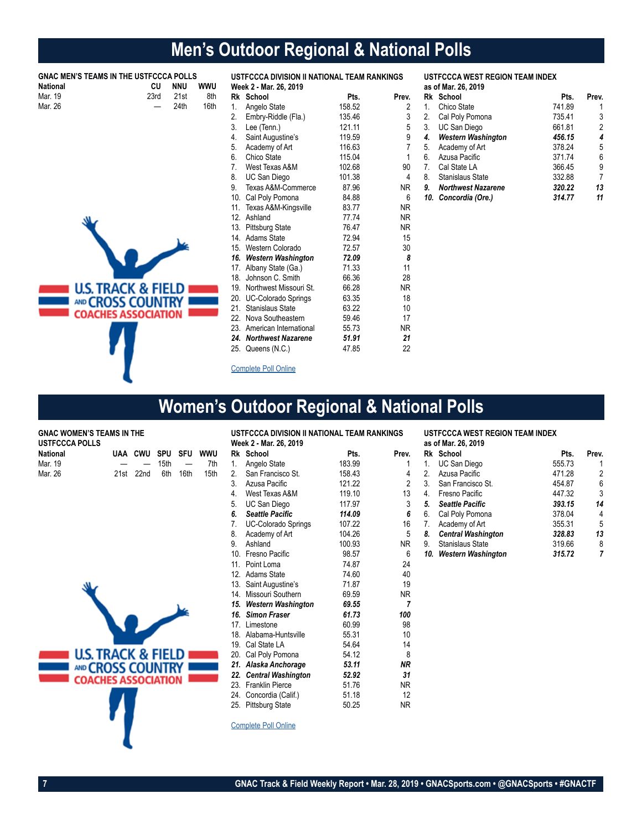# **Men's Outdoor Regional & National Polls**

| <b>National</b> | <b>GNAC MEN'S TEAMS IN THE USTFCCCA POLLS</b><br>CU | <b>NNU</b> | <b>WWU</b> |     | USTFCCCA DIVISION II NATIONAL TEAM RANKINGS<br>Week 2 - Mar. 26, 2019 |        |           |         | <b>USTFCCCA WEST REGION TEAM INDEX</b><br>as of Mar. 26, 2019 |        |                |
|-----------------|-----------------------------------------------------|------------|------------|-----|-----------------------------------------------------------------------|--------|-----------|---------|---------------------------------------------------------------|--------|----------------|
| Mar. 19         | 23rd                                                | 21st       | 8th        |     | Rk School                                                             | Pts.   | Prev.     |         | Rk School                                                     | Pts.   | Prev.          |
| Mar. 26         |                                                     | 24th       | 16th       |     | Angelo State                                                          | 158.52 | 2         | $1_{-}$ | Chico State                                                   | 741.89 |                |
|                 |                                                     |            |            | 2.  | Embry-Riddle (Fla.)                                                   | 135.46 | 3         | 2.      | Cal Poly Pomona                                               | 735.41 | 3              |
|                 |                                                     |            |            | 3.  | Lee (Tenn.)                                                           | 121.11 | 5         | 3.      | <b>UC San Diego</b>                                           | 661.81 | $\sqrt{2}$     |
|                 |                                                     |            |            | 4.  | Saint Augustine's                                                     | 119.59 | 9         | 4.      | <b>Western Washington</b>                                     | 456.15 | 4              |
|                 |                                                     |            |            | 5.  | Academy of Art                                                        | 116.63 |           | 5.      | Academy of Art                                                | 378.24 | 5              |
|                 |                                                     |            |            | 6.  | Chico State                                                           | 115.04 |           | 6.      | Azusa Pacific                                                 | 371.74 | 6              |
|                 |                                                     |            |            |     | West Texas A&M                                                        | 102.68 | 90        | 7.      | Cal State LA                                                  | 366.45 | 9              |
|                 |                                                     |            |            | 8.  | UC San Diego                                                          | 101.38 | 4         | 8.      | Stanislaus State                                              | 332.88 | $\overline{7}$ |
|                 |                                                     |            |            | 9.  | Texas A&M-Commerce                                                    | 87.96  | <b>NR</b> | 9.      | <b>Northwest Nazarene</b>                                     | 320.22 | 13             |
|                 |                                                     |            |            | 10. | Cal Poly Pomona                                                       | 84.88  | 6         |         | 10. Concordia (Ore.)                                          | 314.77 | 11             |
|                 |                                                     |            |            | 11. | Texas A&M-Kingsville                                                  | 83.77  | <b>NR</b> |         |                                                               |        |                |
|                 |                                                     |            |            | 12. | Ashland                                                               | 77.74  | <b>NR</b> |         |                                                               |        |                |
|                 |                                                     |            |            | 13. | <b>Pittsburg State</b>                                                | 76.47  | <b>NR</b> |         |                                                               |        |                |
|                 |                                                     |            |            | 14. | <b>Adams State</b>                                                    | 72.94  | 15        |         |                                                               |        |                |
|                 |                                                     |            |            | 15. | Western Colorado                                                      | 72.57  | 30        |         |                                                               |        |                |
|                 |                                                     |            |            | 16. | <b>Western Washington</b>                                             | 72.09  | 8         |         |                                                               |        |                |
|                 |                                                     |            |            | 17. | Albany State (Ga.)                                                    | 71.33  | 11        |         |                                                               |        |                |
|                 |                                                     |            |            | 18. | Johnson C. Smith                                                      | 66.36  | 28        |         |                                                               |        |                |
|                 | <b>U.S. TRACK &amp; FIELD</b>                       |            |            | 19. | Northwest Missouri St.                                                | 66.28  | <b>NR</b> |         |                                                               |        |                |
|                 | AND CROSS COUNTRY                                   |            |            |     | 20. UC-Colorado Springs                                               | 63.35  | 18        |         |                                                               |        |                |
|                 |                                                     |            |            | 21. | <b>Stanislaus State</b>                                               | 63.22  | 10        |         |                                                               |        |                |
|                 | <b>COACHES ASSOCIATION</b>                          |            |            | 22. | Nova Southeastern                                                     | 59.46  | 17        |         |                                                               |        |                |
|                 |                                                     |            |            | 23. | American International                                                | 55.73  | <b>NR</b> |         |                                                               |        |                |
|                 |                                                     |            |            |     | 24. Northwest Nazarene                                                | 51.91  | 21        |         |                                                               |        |                |
|                 |                                                     |            |            |     | 25. Queens (N.C.)                                                     | 47.85  | 22        |         |                                                               |        |                |
|                 |                                                     |            |            |     | <b>Complete Poll Online</b>                                           |        |           |         |                                                               |        |                |

# **Women's Outdoor Regional & National Polls**

### **GNAC WOMEN'S TEAMS IN THE**

| USTFCCCA POLLS  |                     |  |      |
|-----------------|---------------------|--|------|
| <b>National</b> | UAA CWU SPU SFU WWU |  |      |
| Mar. 19         | — — 15th —          |  | 7th  |
| Mar. 26         | 21st 22nd 6th 16th  |  | 15th |

| <b>U.S. TRACK &amp; FIELD</b><br>AND CROSS COUNTRY<br><b>COACHES ASSOCIATION</b> |  |
|----------------------------------------------------------------------------------|--|
|                                                                                  |  |

| USTFCCCA DIVISION II NATIONAL TEAM RANKINGS |                            |        |                 |  |  |
|---------------------------------------------|----------------------------|--------|-----------------|--|--|
|                                             | Week 2 - Mar. 26, 2019     |        |                 |  |  |
|                                             | Rk School                  | Pts.   | Prev.           |  |  |
| 1.                                          | Angelo State               | 183.99 | 1               |  |  |
|                                             | 2. San Francisco St.       | 158.43 | 4               |  |  |
|                                             | 3. Azusa Pacific           | 121.22 | 2               |  |  |
|                                             | 4. West Texas A&M          | 119.10 | 13              |  |  |
|                                             | 5. UC San Diego            | 117.97 | 3               |  |  |
| 6.                                          | <b>Seattle Pacific</b>     | 114.09 | 6               |  |  |
| 7.                                          | <b>UC-Colorado Springs</b> | 107.22 | 16              |  |  |
| 8.                                          | Academy of Art             | 104.26 | 5               |  |  |
| 9.                                          | Ashland                    | 100.93 | <b>NR</b>       |  |  |
| 10.                                         | Fresno Pacific             | 98.57  | 6               |  |  |
|                                             | 11. Point Loma             | 74.87  | 24              |  |  |
|                                             | 12. Adams State            | 74.60  | 40              |  |  |
|                                             | 13. Saint Augustine's      | 71.87  | 19              |  |  |
|                                             | 14. Missouri Southern      | 69.59  | ΝR              |  |  |
|                                             | 15. Western Washington     | 69.55  | 7               |  |  |
|                                             | 16. Simon Fraser           | 61.73  | 100             |  |  |
|                                             | 17. Limestone              | 60.99  | 98              |  |  |
|                                             | 18. Alabama-Huntsville     | 55.31  | 10 <sup>1</sup> |  |  |
|                                             | 19. Cal State LA           | 54.64  | 14              |  |  |
|                                             | 20. Cal Poly Pomona        | 54.12  | 8               |  |  |
|                                             | 21. Alaska Anchorage       | 53.11  | <b>NR</b>       |  |  |
|                                             | 22. Central Washington     | 52.92  | 31              |  |  |
|                                             | 23. Franklin Pierce        | 51.76  | NR.             |  |  |
|                                             | 24. Concordia (Calif.)     | 51.18  | 12 <sup>°</sup> |  |  |
|                                             | 25. Pittsburg State        | 50.25  | ΝR              |  |  |
|                                             |                            |        |                 |  |  |

Complete Poll Online

**USTFCCCA WEST REGION TEAM INDEX as of Mar. 26, 2019**

|    | $\frac{1}{2}$ . $\frac{1}{2}$ . $\frac{1}{2}$ . $\frac{1}{2}$ . $\frac{1}{2}$ |        |       |
|----|-------------------------------------------------------------------------------|--------|-------|
|    | Rk School                                                                     | Pts.   | Prev. |
| 1. | UC San Diego                                                                  | 555.73 |       |
| 2. | Azusa Pacific                                                                 | 471.28 | 2     |
| 3. | San Francisco St.                                                             | 454.87 | 6     |
| 4. | Fresno Pacific                                                                | 447.32 | 3     |
| 5. | <b>Seattle Pacific</b>                                                        | 393.15 | 14    |
| 6. | Cal Poly Pomona                                                               | 378.04 | 4     |
| 7. | Academy of Art                                                                | 355.31 | 5     |
| 8. | <b>Central Washington</b>                                                     | 328.83 | 13    |
| 9. | Stanislaus State                                                              | 319.66 | 8     |
|    | 10. Western Washington                                                        | 315.72 | 7     |
|    |                                                                               |        |       |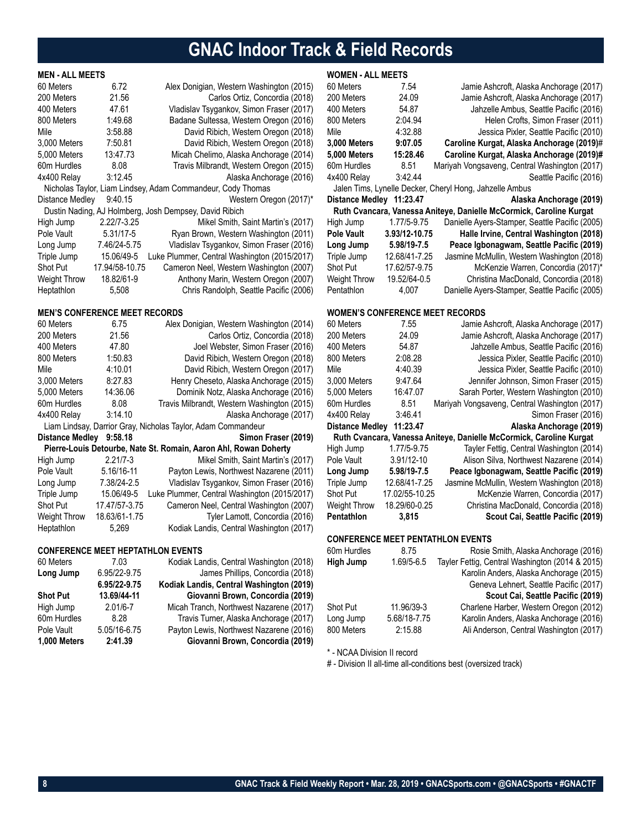# **GNAC Indoor Track & Field Records**

### **MEN - ALL MEETS**

| 60 Meters<br>200 Meters | 6.72<br>21.56  | Alex Donigian, Western Washington (2015)<br>Carlos Ortiz, Concordia (2018) |
|-------------------------|----------------|----------------------------------------------------------------------------|
| 400 Meters              | 47.61          | Vladislav Tsygankov, Simon Fraser (2017)                                   |
| 800 Meters              | 1:49.68        | Badane Sultessa, Western Oregon (2016)                                     |
| Mile                    | 3:58.88        | David Ribich, Western Oregon (2018)                                        |
| 3,000 Meters            | 7:50.81        | David Ribich, Western Oregon (2018)                                        |
| 5,000 Meters            | 13:47.73       | Micah Chelimo, Alaska Anchorage (2014)                                     |
| 60m Hurdles             | 8.08           | Travis Milbrandt, Western Oregon (2015)                                    |
| 4x400 Relay             | 3:12.45        | Alaska Anchorage (2016)                                                    |
|                         |                | Nicholas Taylor, Liam Lindsey, Adam Commandeur, Cody Thomas                |
| Distance Medley         | 9:40.15        | Western Oregon (2017)*                                                     |
|                         |                | Dustin Nading, AJ Holmberg, Josh Dempsey, David Ribich                     |
| High Jump               | 2.22/7-3.25    | Mikel Smith, Saint Martin's (2017)                                         |
| Pole Vault              | 5.31/17-5      | Ryan Brown, Western Washington (2011)                                      |
| Long Jump               | 7.46/24-5.75   | Vladislav Tsygankov, Simon Fraser (2016)                                   |
| Triple Jump             | 15.06/49-5     | Luke Plummer, Central Washington (2015/2017)                               |
| <b>Shot Put</b>         | 17.94/58-10.75 | Cameron Neel, Western Washington (2007)                                    |
| <b>Weight Throw</b>     | 18.82/61-9     | Anthony Marin, Western Oregon (2007)                                       |
| Heptathlon              | 5,508          | Chris Randolph, Seattle Pacific (2006)                                     |

### **MEN'S CONFERENCE MEET RECORDS**

| 60 Meters              | 6.75          | Alex Donigian, Western Washington (2014)                         |
|------------------------|---------------|------------------------------------------------------------------|
| 200 Meters             | 21.56         | Carlos Ortiz, Concordia (2018)                                   |
| 400 Meters             | 47.80         | Joel Webster, Simon Fraser (2016)                                |
| 800 Meters             | 1:50.83       | David Ribich, Western Oregon (2018)                              |
| Mile                   | 4:10.01       | David Ribich, Western Oregon (2017)                              |
| 3,000 Meters           | 8:27.83       | Henry Cheseto, Alaska Anchorage (2015)                           |
| 5,000 Meters           | 14:36.06      | Dominik Notz, Alaska Anchorage (2016)                            |
| 60m Hurdles            | 8.08          | Travis Milbrandt, Western Washington (2015)                      |
| 4x400 Relay            | 3:14.10       | Alaska Anchorage (2017)                                          |
|                        |               | Liam Lindsay, Darrior Gray, Nicholas Taylor, Adam Commandeur     |
| <b>Distance Medley</b> | 9:58.18       | Simon Fraser (2019)                                              |
|                        |               | Pierre-Louis Detourbe, Nate St. Romain, Aaron Ahl, Rowan Doherty |
| High Jump              | $2.21/7 - 3$  | Mikel Smith, Saint Martin's (2017)                               |
| Pole Vault             | 5.16/16-11    | Payton Lewis, Northwest Nazarene (2011)                          |
| Long Jump              | 7.38/24-2.5   | Vladislav Tsygankov, Simon Fraser (2016)                         |
|                        |               |                                                                  |
| Triple Jump            | 15.06/49-5    | Luke Plummer, Central Washington (2015/2017)                     |
| <b>Shot Put</b>        | 17.47/57-3.75 | Cameron Neel, Central Washington (2007)                          |
| <b>Weight Throw</b>    | 18.63/61-1.75 | Tyler Lamott, Concordia (2016)                                   |

### **CONFERENCE MEET HEPTATHLON EVENTS**

| 60 Meters       | 7.03         | Kodiak Landis, Central Washington (2018) |
|-----------------|--------------|------------------------------------------|
| Long Jump       | 6.95/22-9.75 | James Phillips, Concordia (2018)         |
|                 | 6.95/22-9.75 | Kodiak Landis, Central Washington (2019) |
| <b>Shot Put</b> | 13.69/44-11  | Giovanni Brown, Concordia (2019)         |
| High Jump       | $2.01/6 - 7$ | Micah Tranch, Northwest Nazarene (2017)  |
| 60m Hurdles     | 8.28         | Travis Turner, Alaska Anchorage (2017)   |
| Pole Vault      | 5.05/16-6.75 | Payton Lewis, Northwest Nazarene (2016)  |
| 1,000 Meters    | 2:41.39      | Giovanni Brown, Concordia (2019)         |

### **WOMEN - ALL MEETS**

| 60 Meters                              | 7.54           | Jamie Ashcroft, Alaska Anchorage (2017)                             |
|----------------------------------------|----------------|---------------------------------------------------------------------|
| 200 Meters                             | 24.09          | Jamie Ashcroft, Alaska Anchorage (2017)                             |
| 400 Meters                             | 54.87          | Jahzelle Ambus, Seattle Pacific (2016)                              |
| 800 Meters                             | 2:04.94        | Helen Crofts, Simon Fraser (2011)                                   |
| Mile                                   | 4:32.88        | Jessica Pixler, Seattle Pacific (2010)                              |
| 3,000 Meters                           | 9:07.05        | Caroline Kurgat, Alaska Anchorage (2019)#                           |
| 5,000 Meters                           | 15:28.46       | Caroline Kurgat, Alaska Anchorage (2019)#                           |
| 60m Hurdles                            | 8.51           | Mariyah Vongsaveng, Central Washington (2017)                       |
| 4x400 Relay                            | 3:42.44        | Seattle Pacific (2016)                                              |
|                                        |                | Jalen Tims, Lynelle Decker, Cheryl Hong, Jahzelle Ambus             |
| Distance Medley 11:23.47               |                | Alaska Anchorage (2019)                                             |
|                                        |                | Ruth Cvancara, Vanessa Aniteye, Danielle McCormick, Caroline Kurgat |
| High Jump                              | 1.77/5-9.75    | Danielle Ayers-Stamper, Seattle Pacific (2005)                      |
| <b>Pole Vault</b>                      | 3.93/12-10.75  | Halle Irvine, Central Washington (2018)                             |
| Long Jump                              | 5.98/19-7.5    | Peace Igbonagwam, Seattle Pacific (2019)                            |
| Triple Jump                            | 12.68/41-7.25  | Jasmine McMullin, Western Washington (2018)                         |
| Shot Put                               | 17.62/57-9.75  | McKenzie Warren, Concordia (2017)*                                  |
| Weight Throw                           | 19.52/64-0.5   | Christina MacDonald, Concordia (2018)                               |
| Pentathlon                             | 4,007          | Danielle Ayers-Stamper, Seattle Pacific (2005)                      |
|                                        |                |                                                                     |
| <b>WOMEN'S CONFERENCE MEET RECORDS</b> |                |                                                                     |
| 60 Meters                              | 7.55           | Jamie Ashcroft, Alaska Anchorage (2017)                             |
| 200 Meters                             | 24.09          | Jamie Ashcroft, Alaska Anchorage (2017)                             |
| 400 Meters                             | 54.87          | Jahzelle Ambus, Seattle Pacific (2016)                              |
| 800 Meters                             | 2:08.28        | Jessica Pixler, Seattle Pacific (2010)                              |
| Mile                                   | 4:40.39        | Jessica Pixler, Seattle Pacific (2010)                              |
| 3,000 Meters                           | 9:47.64        | Jennifer Johnson, Simon Fraser (2015)                               |
| 5,000 Meters                           | 16:47.07       | Sarah Porter, Western Washington (2010)                             |
| 60m Hurdles                            | 8.51           | Mariyah Vongsaveng, Central Washington (2017)                       |
| 4x400 Relay                            | 3:46.41        | Simon Fraser (2016)                                                 |
| Distance Medley 11:23.47               |                | Alaska Anchorage (2019)                                             |
|                                        |                | Ruth Cvancara, Vanessa Aniteye, Danielle McCormick, Caroline Kurgat |
| High Jump                              | 1.77/5-9.75    | Tayler Fettig, Central Washington (2014)                            |
| Pole Vault                             | 3.91/12-10     | Alison Silva, Northwest Nazarene (2014)                             |
| Long Jump                              | 5.98/19-7.5    | Peace Igbonagwam, Seattle Pacific (2019)                            |
| Triple Jump                            | 12.68/41-7.25  | Jasmine McMullin, Western Washington (2018)                         |
| Shot Put                               | 17.02/55-10.25 | McKenzie Warren, Concordia (2017)                                   |
| Weight Throw                           | 18.29/60-0.25  | Christina MacDonald, Concordia (2018)                               |
| Pentathlon                             | 3,815          | Scout Cai, Seattle Pacific (2019)                                   |
|                                        |                | <b>CONFERENCE MEET PENTATHLON EVENTS</b>                            |
| 60m Hurdles                            | 8.75           | Rosie Smith, Alaska Anchorage (2016)                                |
| <b>High Jump</b>                       | 1.69/5-6.5     | Tayler Fettig, Central Washington (2014 & 2015)                     |
|                                        |                | Karolin Anders, Alaska Anchorage (2015)                             |
|                                        |                | Geneva Lehnert, Seattle Pacific (2017)                              |
|                                        |                | Scout Cai, Seattle Pacific (2019)                                   |
| Shot Put                               | 11.96/39-3     | Charlene Harber, Western Oregon (2012)                              |
| Long Jump                              | 5.68/18-7.75   | Karolin Anders, Alaska Anchorage (2016)                             |
| 800 Meters                             | 2:15.88        | Ali Anderson, Central Washington (2017)                             |
|                                        |                |                                                                     |

\* - NCAA Division II record

# - Division II all-time all-conditions best (oversized track)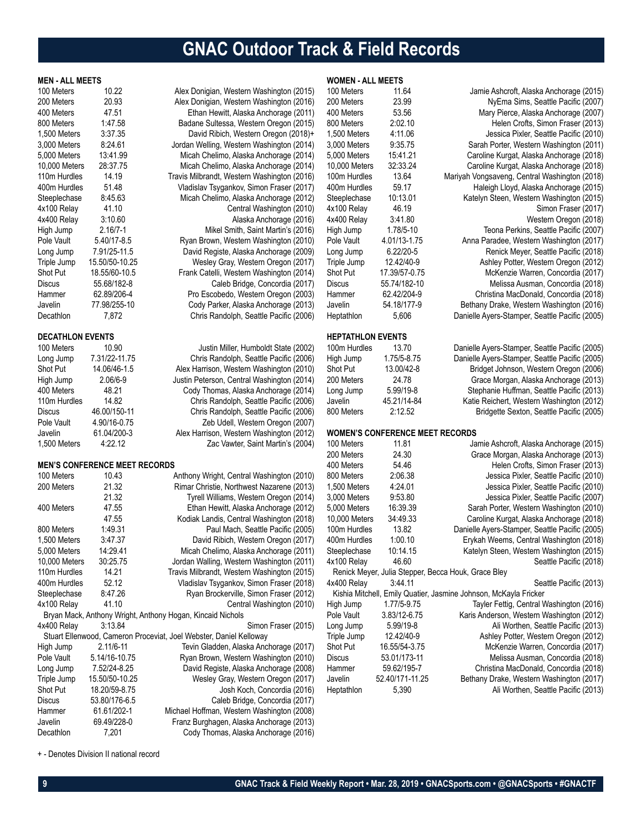# **GNAC Outdoor Track & Field Records**

| <b>MEN - ALL MEETS</b>  |                                      |                                                                    | <b>WOMEN - ALL MEETS</b> |                                        |                                                                  |
|-------------------------|--------------------------------------|--------------------------------------------------------------------|--------------------------|----------------------------------------|------------------------------------------------------------------|
| 100 Meters              | 10.22                                | Alex Donigian, Western Washington (2015)                           | 100 Meters               | 11.64                                  | Jamie Ashcroft, Alaska Anchorage (2015)                          |
| 200 Meters              | 20.93                                | Alex Donigian, Western Washington (2016)                           | 200 Meters               | 23.99                                  | NyEma Sims, Seattle Pacific (2007)                               |
| 400 Meters              | 47.51                                | Ethan Hewitt, Alaska Anchorage (2011)                              | 400 Meters               | 53.56                                  | Mary Pierce, Alaska Anchorage (2007)                             |
| 800 Meters              | 1:47.58                              | Badane Sultessa, Western Oregon (2015)                             | 800 Meters               | 2:02.10                                | Helen Crofts, Simon Fraser (2013)                                |
| 1,500 Meters            | 3:37.35                              | David Ribich, Western Oregon (2018)+                               | 1,500 Meters             | 4:11.06                                | Jessica Pixler, Seattle Pacific (2010)                           |
| 3,000 Meters            | 8:24.61                              | Jordan Welling, Western Washington (2014)                          | 3,000 Meters             | 9:35.75                                | Sarah Porter, Western Washington (2011)                          |
| 5,000 Meters            | 13:41.99                             | Micah Chelimo, Alaska Anchorage (2014)                             | 5,000 Meters             | 15:41.21                               | Caroline Kurgat, Alaska Anchorage (2018)                         |
| 10,000 Meters           | 28:37.75                             | Micah Chelimo, Alaska Anchorage (2014)                             | 10,000 Meters            | 32:33.24                               | Caroline Kurgat, Alaska Anchorage (2018)                         |
| 110m Hurdles            | 14.19                                | Travis Milbrandt, Western Washington (2016)                        | 100m Hurdles             | 13.64                                  | Mariyah Vongsaveng, Central Washington (2018)                    |
| 400m Hurdles            | 51.48                                | Vladislav Tsygankov, Simon Fraser (2017)                           | 400m Hurdles             | 59.17                                  | Haleigh Lloyd, Alaska Anchorage (2015)                           |
| Steeplechase            | 8:45.63                              | Micah Chelimo, Alaska Anchorage (2012)                             | Steeplechase             | 10:13.01                               | Katelyn Steen, Western Washington (2015)                         |
| 4x100 Relay             | 41.10                                | Central Washington (2010)                                          | 4x100 Relay              | 46.19                                  | Simon Fraser (2017)                                              |
| 4x400 Relay             | 3:10.60                              | Alaska Anchorage (2016)                                            | 4x400 Relay              | 3:41.80                                | Western Oregon (2018)                                            |
| High Jump               | $2.16/7 - 1$                         | Mikel Smith, Saint Martin's (2016)                                 |                          | 1.78/5-10                              | Teona Perkins, Seattle Pacific (2007)                            |
| Pole Vault              | 5.40/17-8.5                          | Ryan Brown, Western Washington (2010)                              | High Jump<br>Pole Vault  | 4.01/13-1.75                           |                                                                  |
|                         | 7.91/25-11.5                         |                                                                    |                          | $6.22/20 - 5$                          | Anna Paradee, Western Washington (2017)                          |
| Long Jump               |                                      | David Registe, Alaska Anchorage (2009)                             | Long Jump                |                                        | Renick Meyer, Seattle Pacific (2018)                             |
| Triple Jump             | 15.50/50-10.25                       | Wesley Gray, Western Oregon (2017)                                 | Triple Jump              | 12.42/40-9                             | Ashley Potter, Western Oregon (2012)                             |
| Shot Put                | 18.55/60-10.5                        | Frank Catelli, Western Washington (2014)                           | Shot Put                 | 17.39/57-0.75                          | McKenzie Warren, Concordia (2017)                                |
| Discus                  | 55.68/182-8                          | Caleb Bridge, Concordia (2017)                                     | <b>Discus</b>            | 55.74/182-10                           | Melissa Ausman, Concordia (2018)                                 |
| Hammer                  | 62.89/206-4                          | Pro Escobedo, Western Oregon (2003)                                | Hammer                   | 62.42/204-9                            | Christina MacDonald, Concordia (2018)                            |
| Javelin                 | 77.98/255-10                         | Cody Parker, Alaska Anchorage (2013)                               | Javelin                  | 54.18/177-9                            | Bethany Drake, Western Washington (2016)                         |
| Decathlon               | 7,872                                | Chris Randolph, Seattle Pacific (2006)                             | Heptathlon               | 5,606                                  | Danielle Ayers-Stamper, Seattle Pacific (2005)                   |
| <b>DECATHLON EVENTS</b> |                                      |                                                                    | <b>HEPTATHLON EVENTS</b> |                                        |                                                                  |
| 100 Meters              | 10.90                                | Justin Miller, Humboldt State (2002)                               | 100m Hurdles             | 13.70                                  | Danielle Ayers-Stamper, Seattle Pacific (2005)                   |
| Long Jump               | 7.31/22-11.75                        | Chris Randolph, Seattle Pacific (2006)                             | High Jump                | 1.75/5-8.75                            | Danielle Ayers-Stamper, Seattle Pacific (2005)                   |
| Shot Put                | 14.06/46-1.5                         | Alex Harrison, Western Washington (2010)                           | Shot Put                 | 13.00/42-8                             | Bridget Johnson, Western Oregon (2006)                           |
| High Jump               | $2.06/6-9$                           | Justin Peterson, Central Washington (2014)                         | 200 Meters               | 24.78                                  | Grace Morgan, Alaska Anchorage (2013)                            |
| 400 Meters              | 48.21                                | Cody Thomas, Alaska Anchorage (2014)                               | Long Jump                | 5.99/19-8                              | Stephanie Huffman, Seattle Pacific (2013)                        |
| 110m Hurdles            | 14.82                                | Chris Randolph, Seattle Pacific (2006)                             | Javelin                  | 45.21/14-84                            | Katie Reichert, Western Washington (2012)                        |
| Discus                  | 46.00/150-11                         | Chris Randolph, Seattle Pacific (2006)                             | 800 Meters               | 2:12.52                                | Bridgette Sexton, Seattle Pacific (2005)                         |
| Pole Vault              | 4.90/16-0.75                         | Zeb Udell, Western Oregon (2007)                                   |                          |                                        |                                                                  |
| Javelin                 | 61.04/200-3                          | Alex Harrison, Western Washington (2012)                           |                          | <b>WOMEN'S CONFERENCE MEET RECORDS</b> |                                                                  |
| 1,500 Meters            | 4:22.12                              | Zac Vawter, Saint Martin's (2004)                                  | 100 Meters               | 11.81                                  | Jamie Ashcroft, Alaska Anchorage (2015)                          |
|                         |                                      |                                                                    | 200 Meters               | 24.30                                  | Grace Morgan, Alaska Anchorage (2013)                            |
|                         | <b>MEN'S CONFERENCE MEET RECORDS</b> |                                                                    | 400 Meters               | 54.46                                  | Helen Crofts, Simon Fraser (2013)                                |
| 100 Meters              | 10.43                                | Anthony Wright, Central Washington (2010)                          | 800 Meters               | 2:06.38                                | Jessica Pixler, Seattle Pacific (2010)                           |
| 200 Meters              | 21.32                                | Rimar Christie, Northwest Nazarene (2013)                          | 1,500 Meters             | 4:24.01                                | Jessica Pixler, Seattle Pacific (2010)                           |
|                         | 21.32                                | Tyrell Williams, Western Oregon (2014)                             | 3,000 Meters             | 9:53.80                                | Jessica Pixler, Seattle Pacific (2007)                           |
| 400 Meters              | 47.55                                | Ethan Hewitt, Alaska Anchorage (2012)                              | 5,000 Meters             | 16:39.39                               | Sarah Porter, Western Washington (2010)                          |
|                         | 47.55                                | Kodiak Landis, Central Washington (2018)                           | 10,000 Meters            | 34:49.33                               | Caroline Kurgat, Alaska Anchorage (2018)                         |
| 800 Meters              | 1:49.31                              | Paul Mach, Seattle Pacific (2005)                                  | 100m Hurdles             | 13.82                                  | Danielle Ayers-Stamper, Seattle Pacific (2005)                   |
| 1,500 Meters            | 3:47.37                              | David Ribich, Western Oregon (2017)                                | 400m Hurdles             | 1:00.10                                | Erykah Weems, Central Washington (2018)                          |
| 5,000 Meters            | 14:29.41                             | Micah Chelimo, Alaska Anchorage (2011)                             | Steeplechase             | 10:14.15                               | Katelyn Steen, Western Washington (2015)                         |
| 10,000 Meters           | 30:25.75                             | Jordan Walling, Western Washington (2011)                          | 4x100 Relay              | 46.60                                  | Seattle Pacific (2018)                                           |
|                         | 14.21                                |                                                                    |                          |                                        | Renick Meyer, Julia Stepper, Becca Houk, Grace Bley              |
| 110m Hurdles            |                                      | Travis Milbrandt, Western Washington (2015)                        |                          |                                        |                                                                  |
| 400m Hurdles            | 52.12                                | Vladislav Tsygankov, Simon Fraser (2018)                           | 4x400 Relay              | 3:44.11                                | Seattle Pacific (2013)                                           |
| Steeplechase            | 8:47.26                              | Ryan Brockerville, Simon Fraser (2012)                             |                          |                                        | Kishia Mitchell, Emily Quatier, Jasmine Johnson, McKayla Fricker |
| 4x100 Relay             | 41.10                                | Central Washington (2010)                                          | High Jump                | 1.77/5-9.75                            | Tayler Fettig, Central Washington (2016)                         |
|                         |                                      | Bryan Mack, Anthony Wright, Anthony Hogan, Kincaid Nichols         | Pole Vault               | 3.83/12-6.75                           | Karis Anderson, Western Washington (2012)                        |
| 4x400 Relay             | 3:13.84                              | Simon Fraser (2015)                                                | Long Jump                | 5.99/19-8                              | Ali Worthen, Seattle Pacific (2013)                              |
|                         |                                      | Stuart Ellenwood, Cameron Proceviat, Joel Webster, Daniel Kelloway | Triple Jump              | 12.42/40-9                             | Ashley Potter, Western Oregon (2012)                             |
| High Jump               | $2.11/6 - 11$                        | Tevin Gladden, Alaska Anchorage (2017)                             | Shot Put                 | 16.55/54-3.75                          | McKenzie Warren, Concordia (2017)                                |
| Pole Vault              | 5.14/16-10.75                        | Ryan Brown, Western Washington (2010)                              | <b>Discus</b>            | 53.01/173-11                           | Melissa Ausman, Concordia (2018)                                 |
| Long Jump               | 7.52/24-8.25                         | David Registe, Alaska Anchorage (2008)                             | Hammer                   | 59.62/195-7                            | Christina MacDonald, Concordia (2018)                            |
| Triple Jump             | 15.50/50-10.25                       | Wesley Gray, Western Oregon (2017)                                 | Javelin                  | 52.40/171-11.25                        | Bethany Drake, Western Washington (2017)                         |
| Shot Put                | 18.20/59-8.75                        | Josh Koch, Concordia (2016)                                        | Heptathlon               | 5,390                                  | Ali Worthen, Seattle Pacific (2013)                              |
| Discus                  | 53.80/176-6.5                        | Caleb Bridge, Concordia (2017)                                     |                          |                                        |                                                                  |
| Hammer                  | 61.61/202-1                          | Michael Hoffman, Western Washington (2008)                         |                          |                                        |                                                                  |
| Javelin                 | 69.49/228-0                          | Franz Burghagen, Alaska Anchorage (2013)                           |                          |                                        |                                                                  |

+ - Denotes Division II national record

Decathlon 7,201 Cody Thomas, Alaska Anchorage (2016)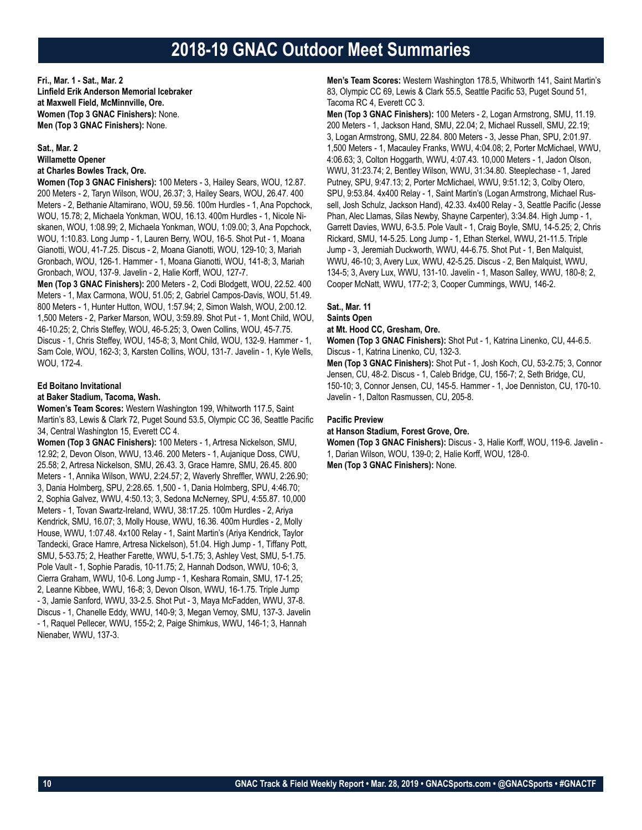## **2018-19 GNAC Outdoor Meet Summaries**

**Fri., Mar. 1 - Sat., Mar. 2 Linfield Erik Anderson Memorial Icebraker at Maxwell Field, McMinnville, Ore. Women (Top 3 GNAC Finishers):** None. **Men (Top 3 GNAC Finishers):** None.

### **Sat., Mar. 2 Willamette Opener at Charles Bowles Track, Ore.**

**Women (Top 3 GNAC Finishers):** 100 Meters - 3, Hailey Sears, WOU, 12.87.

200 Meters - 2, Taryn Wilson, WOU, 26.37; 3, Hailey Sears, WOU, 26.47. 400 Meters - 2, Bethanie Altamirano, WOU, 59.56. 100m Hurdles - 1, Ana Popchock, WOU, 15.78; 2, Michaela Yonkman, WOU, 16.13. 400m Hurdles - 1, Nicole Niskanen, WOU, 1:08.99; 2, Michaela Yonkman, WOU, 1:09.00; 3, Ana Popchock, WOU, 1:10.83. Long Jump - 1, Lauren Berry, WOU, 16-5. Shot Put - 1, Moana Gianotti, WOU, 41-7.25. Discus - 2, Moana Gianotti, WOU, 129-10; 3, Mariah Gronbach, WOU, 126-1. Hammer - 1, Moana Gianotti, WOU, 141-8; 3, Mariah Gronbach, WOU, 137-9. Javelin - 2, Halie Korff, WOU, 127-7.

**Men (Top 3 GNAC Finishers):** 200 Meters - 2, Codi Blodgett, WOU, 22.52. 400 Meters - 1, Max Carmona, WOU, 51.05; 2, Gabriel Campos-Davis, WOU, 51.49. 800 Meters - 1, Hunter Hutton, WOU, 1:57.94; 2, Simon Walsh, WOU, 2:00.12. 1,500 Meters - 2, Parker Marson, WOU, 3:59.89. Shot Put - 1, Mont Child, WOU, 46-10.25; 2, Chris Steffey, WOU, 46-5.25; 3, Owen Collins, WOU, 45-7.75. Discus - 1, Chris Steffey, WOU, 145-8; 3, Mont Child, WOU, 132-9. Hammer - 1, Sam Cole, WOU, 162-3; 3, Karsten Collins, WOU, 131-7. Javelin - 1, Kyle Wells, WOU, 172-4.

### **Ed Boitano Invitational**

### **at Baker Stadium, Tacoma, Wash.**

**Women's Team Scores:** Western Washington 199, Whitworth 117.5, Saint Martin's 83, Lewis & Clark 72, Puget Sound 53.5, Olympic CC 36, Seattle Pacific 34, Central Washington 15, Everett CC 4.

**Women (Top 3 GNAC Finishers):** 100 Meters - 1, Artresa Nickelson, SMU, 12.92; 2, Devon Olson, WWU, 13.46. 200 Meters - 1, Aujanique Doss, CWU, 25.58; 2, Artresa Nickelson, SMU, 26.43. 3, Grace Hamre, SMU, 26.45. 800 Meters - 1, Annika Wilson, WWU, 2:24.57; 2, Waverly Shreffler, WWU, 2:26.90; 3, Dania Holmberg, SPU, 2:28.65. 1,500 - 1, Dania Holmberg, SPU, 4:46.70; 2, Sophia Galvez, WWU, 4:50.13; 3, Sedona McNerney, SPU, 4:55.87. 10,000 Meters - 1, Tovan Swartz-Ireland, WWU, 38:17.25. 100m Hurdles - 2, Ariya Kendrick, SMU, 16.07; 3, Molly House, WWU, 16.36. 400m Hurdles - 2, Molly House, WWU, 1:07.48. 4x100 Relay - 1, Saint Martin's (Ariya Kendrick, Taylor Tandecki, Grace Hamre, Artresa Nickelson), 51.04. High Jump - 1, Tiffany Pott, SMU, 5-53.75; 2, Heather Farette, WWU, 5-1.75; 3, Ashley Vest, SMU, 5-1.75. Pole Vault - 1, Sophie Paradis, 10-11.75; 2, Hannah Dodson, WWU, 10-6; 3, Cierra Graham, WWU, 10-6. Long Jump - 1, Keshara Romain, SMU, 17-1.25; 2, Leanne Kibbee, WWU, 16-8; 3, Devon Olson, WWU, 16-1.75. Triple Jump - 3, Jamie Sanford, WWU, 33-2.5. Shot Put - 3, Maya McFadden, WWU, 37-8. Discus - 1, Chanelle Eddy, WWU, 140-9; 3, Megan Vernoy, SMU, 137-3. Javelin - 1, Raquel Pellecer, WWU, 155-2; 2, Paige Shimkus, WWU, 146-1; 3, Hannah Nienaber, WWU, 137-3.

**Men's Team Scores:** Western Washington 178.5, Whitworth 141, Saint Martin's 83, Olympic CC 69, Lewis & Clark 55.5, Seattle Pacific 53, Puget Sound 51, Tacoma RC 4, Everett CC 3.

**Men (Top 3 GNAC Finishers):** 100 Meters - 2, Logan Armstrong, SMU, 11.19. 200 Meters - 1, Jackson Hand, SMU, 22.04; 2, Michael Russell, SMU, 22.19; 3, Logan Armstrong, SMU, 22.84. 800 Meters - 3, Jesse Phan, SPU, 2:01.97. 1,500 Meters - 1, Macauley Franks, WWU, 4:04.08; 2, Porter McMichael, WWU, 4:06.63; 3, Colton Hoggarth, WWU, 4:07.43. 10,000 Meters - 1, Jadon Olson, WWU, 31:23.74; 2, Bentley Wilson, WWU, 31:34.80. Steeplechase - 1, Jared Putney, SPU, 9:47.13; 2, Porter McMichael, WWU, 9:51.12; 3, Colby Otero, SPU, 9:53.84. 4x400 Relay - 1, Saint Martin's (Logan Armstrong, Michael Russell, Josh Schulz, Jackson Hand), 42.33. 4x400 Relay - 3, Seattle Pacific (Jesse Phan, Alec Llamas, Silas Newby, Shayne Carpenter), 3:34.84. High Jump - 1, Garrett Davies, WWU, 6-3.5. Pole Vault - 1, Craig Boyle, SMU, 14-5.25; 2, Chris Rickard, SMU, 14-5.25. Long Jump - 1, Ethan Sterkel, WWU, 21-11.5. Triple Jump - 3, Jeremiah Duckworth, WWU, 44-6.75. Shot Put - 1, Ben Malquist, WWU, 46-10; 3, Avery Lux, WWU, 42-5.25. Discus - 2, Ben Malquist, WWU, 134-5; 3, Avery Lux, WWU, 131-10. Javelin - 1, Mason Salley, WWU, 180-8; 2, Cooper McNatt, WWU, 177-2; 3, Cooper Cummings, WWU, 146-2.

### **Sat., Mar. 11 Saints Open**

### **at Mt. Hood CC, Gresham, Ore.**

**Women (Top 3 GNAC Finishers):** Shot Put - 1, Katrina Linenko, CU, 44-6.5. Discus - 1, Katrina Linenko, CU, 132-3.

**Men (Top 3 GNAC Finishers):** Shot Put - 1, Josh Koch, CU, 53-2.75; 3, Connor Jensen, CU, 48-2. Discus - 1, Caleb Bridge, CU, 156-7; 2, Seth Bridge, CU, 150-10; 3, Connor Jensen, CU, 145-5. Hammer - 1, Joe Denniston, CU, 170-10. Javelin - 1, Dalton Rasmussen, CU, 205-8.

### **Pacific Preview**

**at Hanson Stadium, Forest Grove, Ore.**

**Women (Top 3 GNAC Finishers):** Discus - 3, Halie Korff, WOU, 119-6. Javelin - 1, Darian Wilson, WOU, 139-0; 2, Halie Korff, WOU, 128-0.

**Men (Top 3 GNAC Finishers):** None.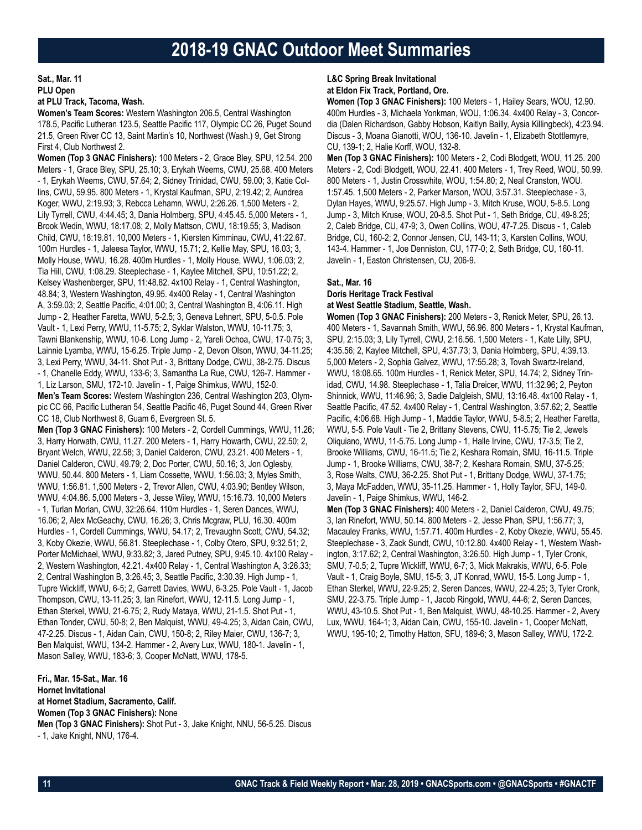**Sat., Mar. 11 PLU Open**

### **at PLU Track, Tacoma, Wash.**

**Women's Team Scores:** Western Washington 206.5, Central Washington 178.5, Pacific Lutheran 123.5, Seattle Pacific 117, Olympic CC 26, Puget Sound 21.5, Green River CC 13, Saint Martin's 10, Northwest (Wash.) 9, Get Strong First 4, Club Northwest 2.

**Women (Top 3 GNAC Finishers):** 100 Meters - 2, Grace Bley, SPU, 12.54. 200 Meters - 1, Grace Bley, SPU, 25.10; 3, Erykah Weems, CWU, 25.68. 400 Meters - 1, Erykah Weems, CWU, 57.64; 2, Sidney Trinidad, CWU, 59.00; 3, Katie Collins, CWU, 59.95. 800 Meters - 1, Krystal Kaufman, SPU, 2:19.42; 2, Aundrea Koger, WWU, 2:19.93; 3, Rebcca Lehamn, WWU, 2:26.26. 1,500 Meters - 2, Lily Tyrrell, CWU, 4:44.45; 3, Dania Holmberg, SPU, 4:45.45. 5,000 Meters - 1, Brook Wedin, WWU, 18:17.08; 2, Molly Mattson, CWU, 18:19.55; 3, Madison Child, CWU, 18:19.81. 10,000 Meters - 1, Kiersten Kimminau, CWU, 41:22.67. 100m Hurdles - 1, Jaleesa Taylor, WWU, 15.71; 2, Kellie May, SPU, 16.03; 3, Molly House, WWU, 16.28. 400m Hurdles - 1, Molly House, WWU, 1:06.03; 2, Tia Hill, CWU, 1:08.29. Steeplechase - 1, Kaylee Mitchell, SPU, 10:51.22; 2, Kelsey Washenberger, SPU, 11:48.82. 4x100 Relay - 1, Central Washington, 48.84; 3, Western Washington, 49.95. 4x400 Relay - 1, Central Washington A, 3:59.03; 2, Seattle Pacific, 4:01.00; 3, Central Washington B, 4:06.11. High Jump - 2, Heather Faretta, WWU, 5-2.5; 3, Geneva Lehnert, SPU, 5-0.5. Pole Vault - 1, Lexi Perry, WWU, 11-5.75; 2, Syklar Walston, WWU, 10-11.75; 3, Tawni Blankenship, WWU, 10-6. Long Jump - 2, Yareli Ochoa, CWU, 17-0.75; 3, Lainnie Lyamba, WWU, 15-6.25. Triple Jump - 2, Devon Olson, WWU, 34-11.25; 3, Lexi Perry, WWU, 34-11. Shot Put - 3, Brittany Dodge, CWU, 38-2.75. Discus - 1, Chanelle Eddy, WWU, 133-6; 3, Samantha La Rue, CWU, 126-7. Hammer - 1, Liz Larson, SMU, 172-10. Javelin - 1, Paige Shimkus, WWU, 152-0. **Men's Team Scores:** Western Washington 236, Central Washington 203, Olympic CC 66, Pacific Lutheran 54, Seattle Pacific 46, Puget Sound 44, Green River CC 18, Club Northwest 8, Guam 6, Evergreen St. 5. **Men (Top 3 GNAC Finishers):** 100 Meters - 2, Cordell Cummings, WWU, 11.26; 3, Harry Horwath, CWU, 11.27. 200 Meters - 1, Harry Howarth, CWU, 22.50; 2, Bryant Welch, WWU, 22.58; 3, Daniel Calderon, CWU, 23.21. 400 Meters - 1, Daniel Calderon, CWU, 49.79; 2, Doc Porter, CWU, 50.16; 3, Jon Oglesby, WWU, 50.44. 800 Meters - 1, Liam Cossette, WWU, 1:56.03; 3, Myles Smith, WWU, 1:56.81. 1,500 Meters - 2, Trevor Allen, CWU, 4:03.90; Bentley Wilson, WWU, 4:04.86. 5,000 Meters - 3, Jesse Wiley, WWU, 15:16.73. 10,000 Meters - 1, Turlan Morlan, CWU, 32:26.64. 110m Hurdles - 1, Seren Dances, WWU, 16.06; 2, Alex McGeachy, CWU, 16.26; 3, Chris Mcgraw, PLU, 16.30. 400m Hurdles - 1, Cordell Cummings, WWU, 54.17; 2, Trevaughn Scott, CWU, 54.32; 3, Koby Okezie, WWU, 56.81. Steeplechase - 1, Colby Otero, SPU, 9:32.51; 2, Porter McMichael, WWU, 9:33.82; 3, Jared Putney, SPU, 9:45.10. 4x100 Relay - 2, Western Washington, 42.21. 4x400 Relay - 1, Central Washington A, 3:26.33; 2, Central Washington B, 3:26.45; 3, Seattle Pacific, 3:30.39. High Jump - 1, Tupre Wickliff, WWU, 6-5; 2, Garrett Davies, WWU, 6-3.25. Pole Vault - 1, Jacob Thompson, CWU, 13-11.25; 3, Ian Rinefort, WWU, 12-11.5. Long Jump - 1, Ethan Sterkel, WWU, 21-6.75; 2, Rudy Mataya, WWU, 21-1.5. Shot Put - 1, Ethan Tonder, CWU, 50-8; 2, Ben Malquist, WWU, 49-4.25; 3, Aidan Cain, CWU, 47-2.25. Discus - 1, Aidan Cain, CWU, 150-8; 2, Riley Maier, CWU, 136-7; 3, Ben Malquist, WWU, 134-2. Hammer - 2, Avery Lux, WWU, 180-1. Javelin - 1, Mason Salley, WWU, 183-6; 3, Cooper McNatt, WWU, 178-5.

**Fri., Mar. 15-Sat., Mar. 16 Hornet Invitational at Hornet Stadium, Sacramento, Calif. Women (Top 3 GNAC Finishers):** None **Men (Top 3 GNAC Finishers):** Shot Put - 3, Jake Knight, NNU, 56-5.25. Discus - 1, Jake Knight, NNU, 176-4.

### **L&C Spring Break Invitational at Eldon Fix Track, Portland, Ore.**

**Women (Top 3 GNAC Finishers):** 100 Meters - 1, Hailey Sears, WOU, 12.90. 400m Hurdles - 3, Michaela Yonkman, WOU, 1:06.34. 4x400 Relay - 3, Concordia (Dalen Richardson, Gabby Hobson, Kaitlyn Bailly, Aysia Killingbeck), 4:23.94. Discus - 3, Moana Gianotti, WOU, 136-10. Javelin - 1, Elizabeth Stottlemyre, CU, 139-1; 2, Halie Korff, WOU, 132-8.

**Men (Top 3 GNAC Finishers):** 100 Meters - 2, Codi Blodgett, WOU, 11.25. 200 Meters - 2, Codi Blodgett, WOU, 22.41. 400 Meters - 1, Trey Reed, WOU, 50.99. 800 Meters - 1, Justin Crosswhite, WOU, 1:54.80; 2, Neal Cranston, WOU. 1:57.45. 1,500 Meters - 2, Parker Marson, WOU, 3:57.31. Steeplechase - 3, Dylan Hayes, WWU, 9:25.57. High Jump - 3, Mitch Kruse, WOU, 5-8.5. Long Jump - 3, Mitch Kruse, WOU, 20-8.5. Shot Put - 1, Seth Bridge, CU, 49-8.25; 2, Caleb Bridge, CU, 47-9; 3, Owen Collins, WOU, 47-7.25. Discus - 1, Caleb Bridge, CU, 160-2; 2, Connor Jensen, CU, 143-11; 3, Karsten Collins, WOU, 143-4. Hammer - 1, Joe Denniston, CU, 177-0; 2, Seth Bridge, CU, 160-11. Javelin - 1, Easton Christensen, CU, 206-9.

### **Sat., Mar. 16**

### **Doris Heritage Track Festival**

**at West Seattle Stadium, Seattle, Wash.**

**Women (Top 3 GNAC Finishers):** 200 Meters - 3, Renick Meter, SPU, 26.13. 400 Meters - 1, Savannah Smith, WWU, 56.96. 800 Meters - 1, Krystal Kaufman, SPU, 2:15.03; 3, Lily Tyrrell, CWU, 2:16.56. 1,500 Meters - 1, Kate Lilly, SPU, 4:35.56; 2, Kaylee Mitchell, SPU, 4:37.73; 3, Dania Holmberg, SPU, 4:39.13. 5,000 Meters - 2, Sophia Galvez, WWU, 17:55.28; 3, Tovah Swartz-Ireland, WWU, 18:08.65. 100m Hurdles - 1, Renick Meter, SPU, 14.74; 2, Sidney Trinidad, CWU, 14.98. Steeplechase - 1, Talia Dreicer, WWU, 11:32.96; 2, Peyton Shinnick, WWU, 11:46.96; 3, Sadie Dalgleish, SMU, 13:16.48. 4x100 Relay - 1, Seattle Pacific, 47.52. 4x400 Relay - 1, Central Washington, 3:57.62; 2, Seattle Pacific, 4:06.68. High Jump - 1, Maddie Taylor, WWU, 5-8.5; 2, Heather Faretta, WWU, 5-5. Pole Vault - Tie 2, Brittany Stevens, CWU, 11-5.75; Tie 2, Jewels Oliquiano, WWU, 11-5.75. Long Jump - 1, Halle Irvine, CWU, 17-3.5; Tie 2, Brooke Williams, CWU, 16-11.5; Tie 2, Keshara Romain, SMU, 16-11.5. Triple Jump - 1, Brooke Williams, CWU, 38-7; 2, Keshara Romain, SMU, 37-5.25; 3, Rose Walts, CWU, 36-2.25. Shot Put - 1, Brittany Dodge, WWU, 37-1.75; 3, Maya McFadden, WWU, 35-11.25. Hammer - 1, Holly Taylor, SFU, 149-0. Javelin - 1, Paige Shimkus, WWU, 146-2.

**Men (Top 3 GNAC Finishers):** 400 Meters - 2, Daniel Calderon, CWU, 49.75; 3, Ian Rinefort, WWU, 50.14. 800 Meters - 2, Jesse Phan, SPU, 1:56.77; 3, Macauley Franks, WWU, 1:57.71. 400m Hurdles - 2, Koby Okezie, WWU, 55.45. Steeplechase - 3, Zack Sundt, CWU, 10:12.80. 4x400 Relay - 1, Western Washington, 3:17.62; 2, Central Washington, 3:26.50. High Jump - 1, Tyler Cronk, SMU, 7-0.5; 2, Tupre Wickliff, WWU, 6-7; 3, Mick Makrakis, WWU, 6-5. Pole Vault - 1, Craig Boyle, SMU, 15-5; 3, JT Konrad, WWU, 15-5. Long Jump - 1, Ethan Sterkel, WWU, 22-9.25; 2, Seren Dances, WWU, 22-4.25; 3, Tyler Cronk, SMU, 22-3.75. Triple Jump - 1, Jacob Ringold, WWU, 44-6; 2, Seren Dances, WWU, 43-10.5. Shot Put - 1, Ben Malquist, WWU, 48-10.25. Hammer - 2, Avery Lux, WWU, 164-1; 3, Aidan Cain, CWU, 155-10. Javelin - 1, Cooper McNatt, WWU, 195-10; 2, Timothy Hatton, SFU, 189-6; 3, Mason Salley, WWU, 172-2.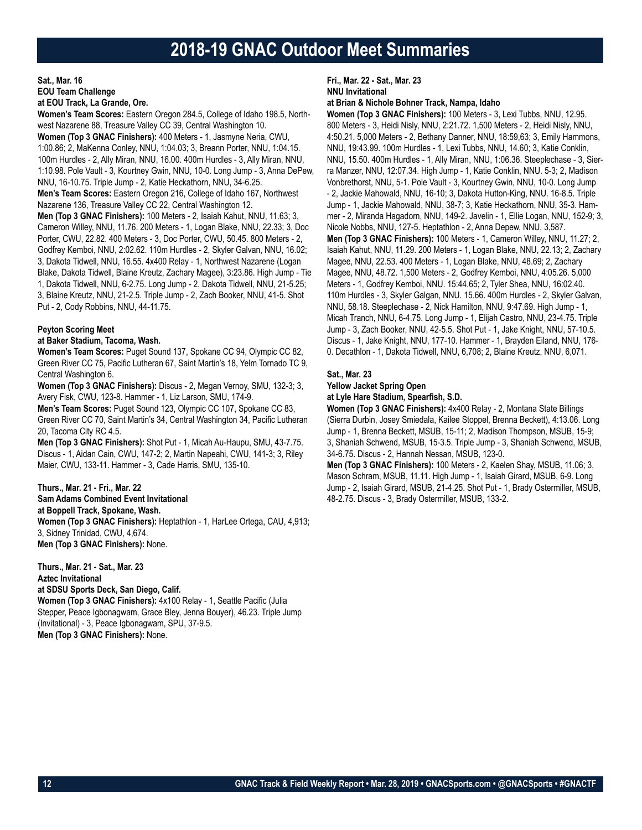### **Sat., Mar. 16 EOU Team Challenge at EOU Track, La Grande, Ore.**

**Women's Team Scores:** Eastern Oregon 284.5, College of Idaho 198.5, Northwest Nazarene 88, Treasure Valley CC 39, Central Washington 10. **Women (Top 3 GNAC Finishers):** 400 Meters - 1, Jasmyne Neria, CWU, 1:00.86; 2, MaKenna Conley, NNU, 1:04.03; 3, Breann Porter, NNU, 1:04.15. 100m Hurdles - 2, Ally Miran, NNU, 16.00. 400m Hurdles - 3, Ally Miran, NNU, 1:10.98. Pole Vault - 3, Kourtney Gwin, NNU, 10-0. Long Jump - 3, Anna DePew, NNU, 16-10.75. Triple Jump - 2, Katie Heckathorn, NNU, 34-6.25. **Men's Team Scores:** Eastern Oregon 216, College of Idaho 167, Northwest Nazarene 136, Treasure Valley CC 22, Central Washington 12. **Men (Top 3 GNAC Finishers):** 100 Meters - 2, Isaiah Kahut, NNU, 11.63; 3, Cameron Willey, NNU, 11.76. 200 Meters - 1, Logan Blake, NNU, 22.33; 3, Doc Porter, CWU, 22.82. 400 Meters - 3, Doc Porter, CWU, 50.45. 800 Meters - 2, Godfrey Kemboi, NNU, 2:02.62. 110m Hurdles - 2, Skyler Galvan, NNU, 16.02; 3, Dakota Tidwell, NNU, 16.55. 4x400 Relay - 1, Northwest Nazarene (Logan Blake, Dakota Tidwell, Blaine Kreutz, Zachary Magee), 3:23.86. High Jump - Tie 1, Dakota Tidwell, NNU, 6-2.75. Long Jump - 2, Dakota Tidwell, NNU, 21-5.25; 3, Blaine Kreutz, NNU, 21-2.5. Triple Jump - 2, Zach Booker, NNU, 41-5. Shot Put - 2, Cody Robbins, NNU, 44-11.75.

### **Peyton Scoring Meet**

### **at Baker Stadium, Tacoma, Wash.**

**Women's Team Scores:** Puget Sound 137, Spokane CC 94, Olympic CC 82, Green River CC 75, Pacific Lutheran 67, Saint Martin's 18, Yelm Tornado TC 9, Central Washington 6.

**Women (Top 3 GNAC Finishers):** Discus - 2, Megan Vernoy, SMU, 132-3; 3, Avery Fisk, CWU, 123-8. Hammer - 1, Liz Larson, SMU, 174-9.

**Men's Team Scores:** Puget Sound 123, Olympic CC 107, Spokane CC 83, Green River CC 70, Saint Martin's 34, Central Washington 34, Pacific Lutheran 20, Tacoma City RC 4.5.

**Men (Top 3 GNAC Finishers):** Shot Put - 1, Micah Au-Haupu, SMU, 43-7.75. Discus - 1, Aidan Cain, CWU, 147-2; 2, Martin Napeahi, CWU, 141-3; 3, Riley Maier, CWU, 133-11. Hammer - 3, Cade Harris, SMU, 135-10.

### **Thurs., Mar. 21 - Fri., Mar. 22**

**Sam Adams Combined Event Invitational at Boppell Track, Spokane, Wash. Women (Top 3 GNAC Finishers):** Heptathlon - 1, HarLee Ortega, CAU, 4,913; 3, Sidney Trinidad, CWU, 4,674. **Men (Top 3 GNAC Finishers):** None.

**Thurs., Mar. 21 - Sat., Mar. 23 Aztec Invitational**

**at SDSU Sports Deck, San Diego, Calif.**

**Women (Top 3 GNAC Finishers):** 4x100 Relay - 1, Seattle Pacific (Julia Stepper, Peace Igbonagwam, Grace Bley, Jenna Bouyer), 46.23. Triple Jump (Invitational) - 3, Peace Igbonagwam, SPU, 37-9.5. **Men (Top 3 GNAC Finishers):** None.

### **Fri., Mar. 22 - Sat., Mar. 23 NNU Invitational**

**at Brian & Nichole Bohner Track, Nampa, Idaho**

**Women (Top 3 GNAC Finishers):** 100 Meters - 3, Lexi Tubbs, NNU, 12.95. 800 Meters - 3, Heidi Nisly, NNU, 2:21.72. 1,500 Meters - 2, Heidi Nisly, NNU, 4:50.21. 5,000 Meters - 2, Bethany Danner, NNU, 18:59,63; 3, Emily Hammons, NNU, 19:43.99. 100m Hurdles - 1, Lexi Tubbs, NNU, 14.60; 3, Katie Conklin, NNU, 15.50. 400m Hurdles - 1, Ally Miran, NNU, 1:06.36. Steeplechase - 3, Sierra Manzer, NNU, 12:07.34. High Jump - 1, Katie Conklin, NNU. 5-3; 2, Madison Vonbrethorst, NNU, 5-1. Pole Vault - 3, Kourtney Gwin, NNU, 10-0. Long Jump - 2, Jackie Mahowald, NNU, 16-10; 3, Dakota Hutton-King, NNU. 16-8.5. Triple Jump - 1, Jackie Mahowald, NNU, 38-7; 3, Katie Heckathorn, NNU, 35-3. Hammer - 2, Miranda Hagadorn, NNU, 149-2. Javelin - 1, Ellie Logan, NNU, 152-9; 3, Nicole Nobbs, NNU, 127-5. Heptathlon - 2, Anna Depew, NNU, 3,587. **Men (Top 3 GNAC Finishers):** 100 Meters - 1, Cameron Willey, NNU, 11.27; 2, Isaiah Kahut, NNU, 11.29. 200 Meters - 1, Logan Blake, NNU, 22.13; 2, Zachary Magee, NNU, 22.53. 400 Meters - 1, Logan Blake, NNU, 48.69; 2, Zachary Magee, NNU, 48.72. 1,500 Meters - 2, Godfrey Kemboi, NNU, 4:05.26. 5,000 Meters - 1, Godfrey Kemboi, NNU. 15:44.65; 2, Tyler Shea, NNU, 16:02.40. 110m Hurdles - 3, Skyler Galgan, NNU. 15.66. 400m Hurdles - 2, Skyler Galvan, NNU, 58.18. Steeplechase - 2, Nick Hamilton, NNU, 9:47.69. High Jump - 1, Micah Tranch, NNU, 6-4.75. Long Jump - 1, Elijah Castro, NNU, 23-4.75. Triple Jump - 3, Zach Booker, NNU, 42-5.5. Shot Put - 1, Jake Knight, NNU, 57-10.5. Discus - 1, Jake Knight, NNU, 177-10. Hammer - 1, Brayden Eiland, NNU, 176- 0. Decathlon - 1, Dakota Tidwell, NNU, 6,708; 2, Blaine Kreutz, NNU, 6,071.

### **Sat., Mar. 23**

**Yellow Jacket Spring Open**

### **at Lyle Hare Stadium, Spearfish, S.D.**

**Women (Top 3 GNAC Finishers):** 4x400 Relay - 2, Montana State Billings (Sierra Durbin, Josey Smiedala, Kailee Stoppel, Brenna Beckett), 4:13.06. Long Jump - 1, Brenna Beckett, MSUB, 15-11; 2, Madison Thompson, MSUB, 15-9; 3, Shaniah Schwend, MSUB, 15-3.5. Triple Jump - 3, Shaniah Schwend, MSUB, 34-6.75. Discus - 2, Hannah Nessan, MSUB, 123-0.

**Men (Top 3 GNAC Finishers):** 100 Meters - 2, Kaelen Shay, MSUB, 11.06; 3, Mason Schram, MSUB, 11.11. High Jump - 1, Isaiah Girard, MSUB, 6-9. Long Jump - 2, Isaiah Girard, MSUB, 21-4.25. Shot Put - 1, Brady Ostermiller, MSUB, 48-2.75. Discus - 3, Brady Ostermiller, MSUB, 133-2.